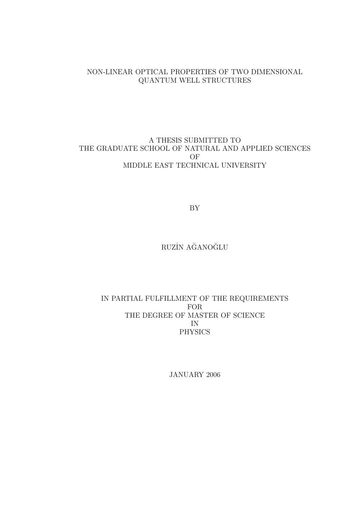## NON-LINEAR OPTICAL PROPERTIES OF TWO DIMENSIONAL QUANTUM WELL STRUCTURES

## A THESIS SUBMITTED TO THE GRADUATE SCHOOL OF NATURAL AND APPLIED SCIENCES OF MIDDLE EAST TECHNICAL UNIVERSITY

BY

## RUZİN AĞANOĞLU

## IN PARTIAL FULFILLMENT OF THE REQUIREMENTS FOR THE DEGREE OF MASTER OF SCIENCE IN PHYSICS

JANUARY 2006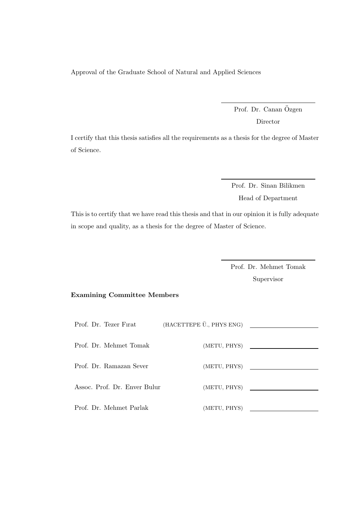Approval of the Graduate School of Natural and Applied Sciences

Prof. Dr. Canan Özgen Director

I certify that this thesis satisfies all the requirements as a thesis for the degree of Master of Science.

Prof. Dr. Sinan Bilikmen

Head of Department

This is to certify that we have read this thesis and that in our opinion it is fully adequate in scope and quality, as a thesis for the degree of Master of Science.

> Prof. Dr. Mehmet Tomak Supervisor

### Examining Committee Members

| Prof. Dr. Tezer Firat        | (HACETTEPE Ü., PHYS ENG) |              |
|------------------------------|--------------------------|--------------|
| Prof. Dr. Mehmet Tomak       |                          |              |
| Prof. Dr. Ramazan Sever      |                          | (METU, PHYS) |
| Assoc. Prof. Dr. Enver Bulur |                          |              |
| Prof. Dr. Mehmet Parlak      | (METU, PHYS)             |              |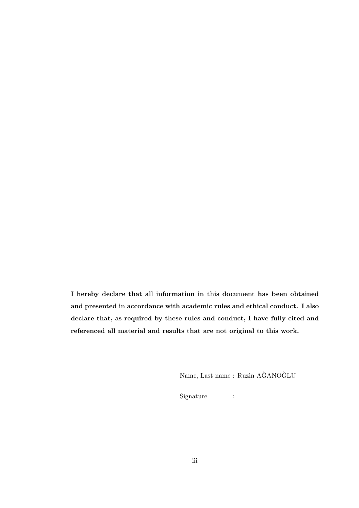I hereby declare that all information in this document has been obtained and presented in accordance with academic rules and ethical conduct. I also declare that, as required by these rules and conduct, I have fully cited and referenced all material and results that are not original to this work.

Name, Last name : Ruzin  $\widetilde{\bf{AGANOGLU}}$ 

Signature :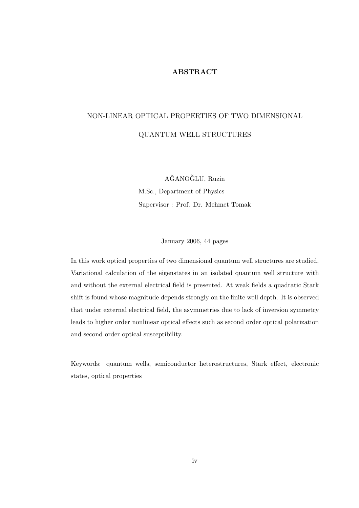### ABSTRACT

# NON-LINEAR OPTICAL PROPERTIES OF TWO DIMENSIONAL QUANTUM WELL STRUCTURES

AĞANOĞLU, Ruzin M.Sc., Department of Physics Supervisor : Prof. Dr. Mehmet Tomak

January 2006, 44 pages

In this work optical properties of two dimensional quantum well structures are studied. Variational calculation of the eigenstates in an isolated quantum well structure with and without the external electrical field is presented. At weak fields a quadratic Stark shift is found whose magnitude depends strongly on the finite well depth. It is observed that under external electrical field, the asymmetries due to lack of inversion symmetry leads to higher order nonlinear optical effects such as second order optical polarization and second order optical susceptibility.

Keywords: quantum wells, semiconductor heterostructures, Stark effect, electronic states, optical properties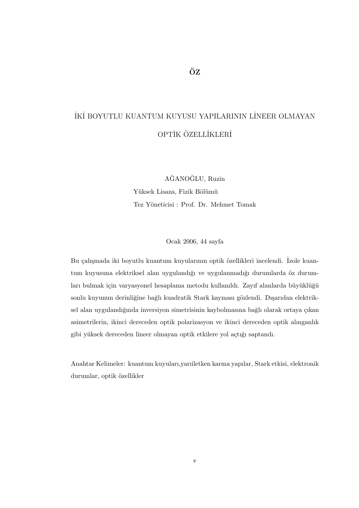# ˙IK˙I BOYUTLU KUANTUM KUYUSU YAPILARININ L˙INEER OLMAYAN OPTİK ÖZELLİKLERİ

AĞANOĞLU, Ruzin Yüksek Lisans, Fizik Bölümü Tez Yöneticisi : Prof. Dr. Mehmet Tomak

Ocak 2006, 44 sayfa

Bu çalışmada iki boyutlu kuantum kuyularının optik özellikleri incelendi. İzole kuantum kuyusuna elektriksel alan uygulandığı ve uygulanmadığı durumlarda öz durumları bulmak için varyasyonel hesaplama metodu kullanıldı. Zayıf alanlarda büyüklüğü sonlu kuyunun derinliğine bağlı kuadratik Stark kayması gözlendi. Dışarıdan elektriksel alan uygulandığında inversiyon simetrisinin kaybolmasına bağlı olarak ortaya çıkan asimetrilerin, ikinci dereceden optik polarizasyon ve ikinci dereceden optik alınganlık gibi yüksek dereceden lineer olmayan optik etkilere yol açtığı saptandı.

Anahtar Kelimeler: kuantum kuyuları,yarıiletken karma yapılar, Stark etkisi, elektronik durumlar, optik özellikler

v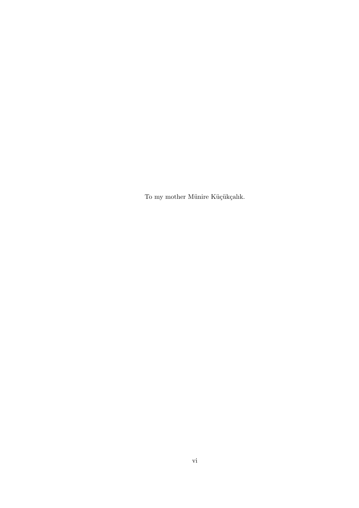To my mother Münire Küçükçalık. $\;$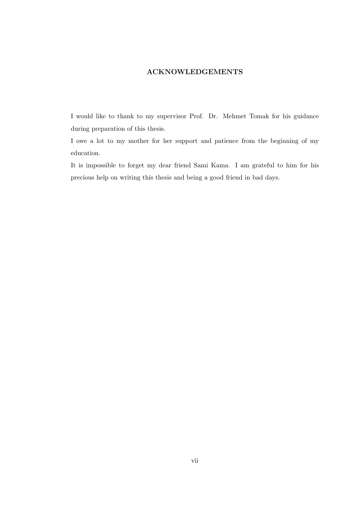## ACKNOWLEDGEMENTS

I would like to thank to my supervisor Prof. Dr. Mehmet Tomak for his guidance during preparation of this thesis.

I owe a lot to my mother for her support and patience from the beginning of my education.

It is impossible to forget my dear friend Sami Kama. I am grateful to him for his precious help on writing this thesis and being a good friend in bad days.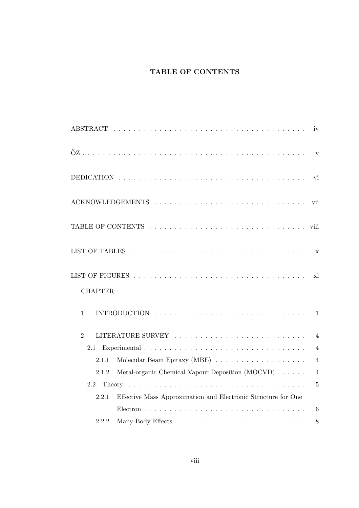## TABLE OF CONTENTS

| <b>CHAPTER</b>                                                                    | xi             |
|-----------------------------------------------------------------------------------|----------------|
| 1                                                                                 |                |
| $\overline{2}$                                                                    | $\overline{4}$ |
| 2.1                                                                               | $\overline{4}$ |
| Molecular Beam Epitaxy (MBE) $\ldots \ldots \ldots \ldots \ldots \ldots$<br>2.1.1 | $\overline{4}$ |
| Metal-organic Chemical Vapour Deposition (MOCVD)<br>2.1.2                         | $\overline{4}$ |
| 2.2                                                                               | $\overline{5}$ |
| Effective Mass Approximation and Electronic Structure for One<br>2.2.1            |                |
|                                                                                   | 6              |
| 2.2.2                                                                             | 8              |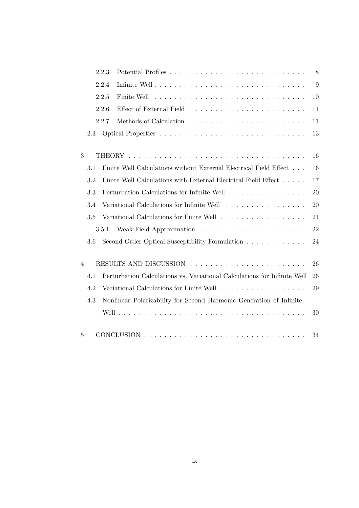|   |     | 2.2.3  |                                                                          | 8  |
|---|-----|--------|--------------------------------------------------------------------------|----|
|   |     | 2.2.4  | Infinite Well                                                            | 9  |
|   |     | 2.2.5  |                                                                          | 10 |
|   |     | 2.2.6  |                                                                          | 11 |
|   |     | 2.2.7  |                                                                          | 11 |
|   | 2.3 |        |                                                                          | 13 |
| 3 |     | THEORY |                                                                          | 16 |
|   | 3.1 |        | Finite Well Calculations without External Electrical Field Effect        | 16 |
|   | 3.2 |        | Finite Well Calculations with External Electrical Field Effect           | 17 |
|   | 3.3 |        | Perturbation Calculations for Infinite Well                              | 20 |
|   | 3.4 |        | Variational Calculations for Infinite Well                               | 20 |
|   | 3.5 |        | Variational Calculations for Finite Well                                 | 21 |
|   |     | 3.5.1  |                                                                          | 22 |
|   | 3.6 |        | Second Order Optical Susceptibility Formulation                          | 24 |
| 4 |     |        | RESULTS AND DISCUSSION                                                   | 26 |
|   | 4.1 |        | Perturbation Calculations vs. Variational Calculations for Infinite Well | 26 |
|   | 4.2 |        | Variational Calculations for Finite Well                                 | 29 |
|   | 4.3 |        | Nonlinear Polarizability for Second Harmonic Generation of Infinite      |    |
|   |     |        |                                                                          | 30 |
| 5 |     |        |                                                                          | 34 |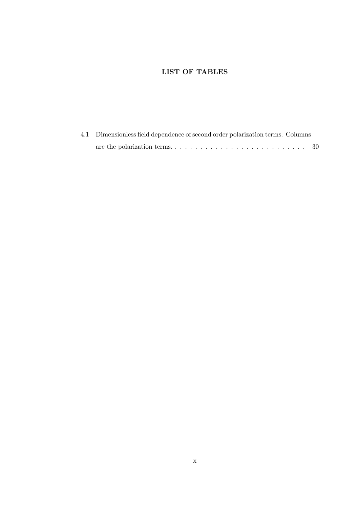## LIST OF TABLES

| 4.1 Dimensionless field dependence of second order polarization terms. Columns |  |
|--------------------------------------------------------------------------------|--|
|                                                                                |  |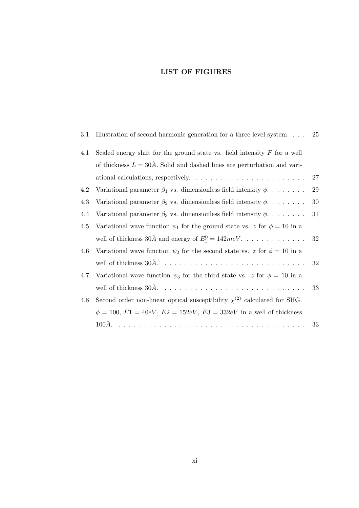## LIST OF FIGURES

| 3.1 | Illustration of second harmonic generation for a three level system 25             |    |
|-----|------------------------------------------------------------------------------------|----|
| 4.1 | Scaled energy shift for the ground state vs. field intensity $F$ for a well        |    |
|     | of thickness $L = 30\AA$ . Solid and dashed lines are perturbation and vari-       |    |
|     |                                                                                    | 27 |
| 4.2 | Variational parameter $\beta_1$ vs. dimensionless field intensity $\phi$           | 29 |
| 4.3 | Variational parameter $\beta_2$ vs. dimensionless field intensity $\phi$           | 30 |
| 4.4 | Variational parameter $\beta_3$ vs. dimensionless field intensity $\phi$           | 31 |
| 4.5 | Variational wave function $\psi_1$ for the ground state vs. z for $\phi = 10$ in a |    |
|     | well of thickness $30\AA$ and energy of $E_1^0 = 142meV$                           | 32 |
| 4.6 | Variational wave function $\psi_2$ for the second state vs. z for $\phi = 10$ in a |    |
|     |                                                                                    | 32 |
| 4.7 | Variational wave function $\psi_3$ for the third state vs. z for $\phi = 10$ in a  |    |
|     | well of thickness $30\AA$ .                                                        | 33 |
| 4.8 | Second order non-linear optical susceptibility $\chi^{(2)}$ calculated for SHG.    |    |
|     | $\phi = 100, E1 = 40eV, E2 = 152eV, E3 = 332eV$ in a well of thickness             |    |
|     | $100\AA$ .                                                                         | 33 |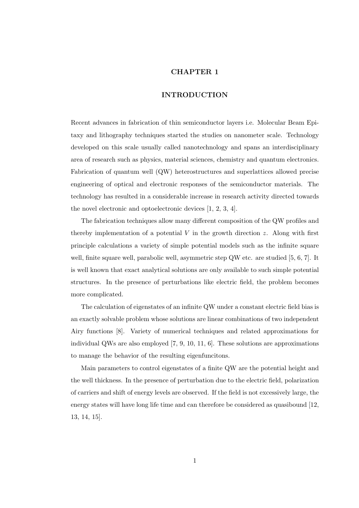#### CHAPTER 1

#### INTRODUCTION

Recent advances in fabrication of thin semiconductor layers i.e. Molecular Beam Epitaxy and lithography techniques started the studies on nanometer scale. Technology developed on this scale usually called nanotechnology and spans an interdisciplinary area of research such as physics, material sciences, chemistry and quantum electronics. Fabrication of quantum well (QW) heterostructures and superlattices allowed precise engineering of optical and electronic responses of the semiconductor materials. The technology has resulted in a considerable increase in research activity directed towards the novel electronic and optoelectronic devices [1, 2, 3, 4].

The fabrication techniques allow many different composition of the QW profiles and thereby implementation of a potential  $V$  in the growth direction  $z$ . Along with first principle calculations a variety of simple potential models such as the infinite square well, finite square well, parabolic well, asymmetric step QW etc. are studied [5, 6, 7]. It is well known that exact analytical solutions are only available to such simple potential structures. In the presence of perturbations like electric field, the problem becomes more complicated.

The calculation of eigenstates of an infinite QW under a constant electric field bias is an exactly solvable problem whose solutions are linear combinations of two independent Airy functions [8]. Variety of numerical techniques and related approximations for individual QWs are also employed [7, 9, 10, 11, 6]. These solutions are approximations to manage the behavior of the resulting eigenfuncitons.

Main parameters to control eigenstates of a finite QW are the potential height and the well thickness. In the presence of perturbation due to the electric field, polarization of carriers and shift of energy levels are observed. If the field is not excessively large, the energy states will have long life time and can therefore be considered as quasibound [12, 13, 14, 15].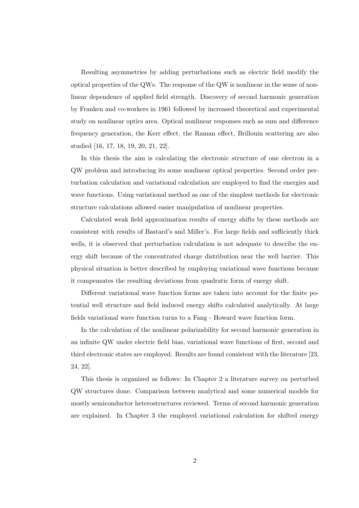Resulting asymmetries by adding perturbations such as electric field modify the optical properties of the QWs. The response of the QW is nonlinear in the sense of nonlinear dependence of applied field strength. Discovery of second harmonic generation by Franken and co-workers in 1961 followed by increased theoretical and experimental study on nonlinear optics area. Optical nonlinear responses such as sum and difference frequency generation, the Kerr effect, the Raman effect, Brillouin scattering are also studied [16, 17, 18, 19, 20, 21, 22].

In this thesis the aim is calculating the electronic structure of one electron in a QW problem and introducing its some nonlinear optical properties. Second order perturbation calculation and variational calculation are employed to find the energies and wave functions. Using variational method as one of the simplest methods for electronic structure calculations allowed easier manipulation of nonlinear properties.

Calculated weak field approximation results of energy shifts by these methods are consistent with results of Bastard's and Miller's. For large fields and sufficiently thick wells, it is observed that perturbation calculation is not adequate to describe the energy shift because of the concentrated charge distribution near the well barrier. This physical situation is better described by employing variational wave functions because it compensates the resulting deviations from quadratic form of energy shift.

Different variational wave function forms are taken into account for the finite potential well structure and field induced energy shifts calculated analytically. At large fields variational wave function turns to a Fang - Howard wave function form.

In the calculation of the nonlinear polarizability for second harmonic generation in an infinite QW under electric field bias, variational wave functions of first, second and third electronic states are employed. Results are found consistent with the literature [23, 24, 22].

This thesis is organized as follows: In Chapter 2 a literature survey on perturbed QW structures done. Comparison between analytical and some numerical models for mostly semiconductor heterostructures reviewed. Terms of second harmonic generation are explained. In Chapter 3 the employed variational calculation for shifted energy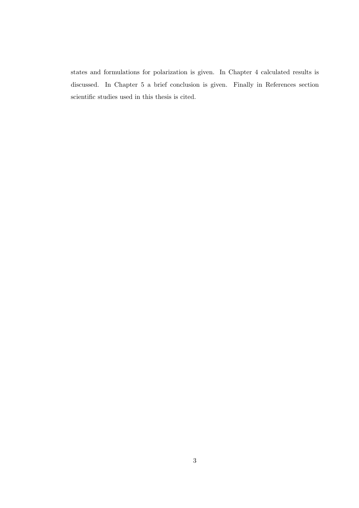states and formulations for polarization is given. In Chapter 4 calculated results is discussed. In Chapter 5 a brief conclusion is given. Finally in References section scientific studies used in this thesis is cited.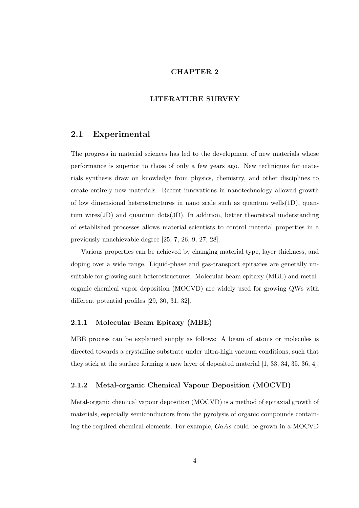#### CHAPTER 2

#### LITERATURE SURVEY

#### 2.1 Experimental

The progress in material sciences has led to the development of new materials whose performance is superior to those of only a few years ago. New techniques for materials synthesis draw on knowledge from physics, chemistry, and other disciplines to create entirely new materials. Recent innovations in nanotechnology allowed growth of low dimensional heterostructures in nano scale such as quantum wells $(1D)$ , quantum wires(2D) and quantum dots(3D). In addition, better theoretical understanding of established processes allows material scientists to control material properties in a previously unachievable degree [25, 7, 26, 9, 27, 28].

Various properties can be achieved by changing material type, layer thickness, and doping over a wide range. Liquid-phase and gas-transport epitaxies are generally unsuitable for growing such heterostructures. Molecular beam epitaxy (MBE) and metalorganic chemical vapor deposition (MOCVD) are widely used for growing QWs with different potential profiles [29, 30, 31, 32].

#### 2.1.1 Molecular Beam Epitaxy (MBE)

MBE process can be explained simply as follows: A beam of atoms or molecules is directed towards a crystalline substrate under ultra-high vacuum conditions, such that they stick at the surface forming a new layer of deposited material [1, 33, 34, 35, 36, 4].

#### 2.1.2 Metal-organic Chemical Vapour Deposition (MOCVD)

Metal-organic chemical vapour deposition (MOCVD) is a method of epitaxial growth of materials, especially semiconductors from the pyrolysis of organic compounds containing the required chemical elements. For example, GaAs could be grown in a MOCVD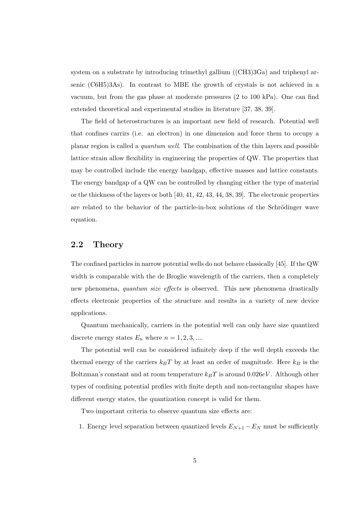system on a substrate by introducing trimethyl gallium ((CH3)3Ga) and triphenyl arsenic (C6H5)3As). In contrast to MBE the growth of crystals is not achieved in a vacuum, but from the gas phase at moderate pressures (2 to 100 kPa). One can find extended theoretical and experimental studies in literature [37, 38, 39].

The field of heterostructures is an important new field of research. Potential well that confines carrirs (i.e. an electron) in one dimension and force them to occupy a planar region is called a quantum well. The combination of the thin layers and possible lattice strain allow flexibility in engineering the properties of QW. The properties that may be controlled include the energy bandgap, effective masses and lattice constants. The energy bandgap of a QW can be controlled by changing either the type of material or the thickness of the layers or both [40, 41, 42, 43, 44, 38, 39]. The electronic properties are related to the behavior of the particle-in-box solutions of the Schrödinger wave equation.

## 2.2 Theory

The confined particles in narrow potential wells do not behave classically [45]. If the QW width is comparable with the de Broglie wavelength of the carriers, then a completely new phenomena, quantum size effects is observed. This new phenomena drastically effects electronic properties of the structure and results in a variety of new device applications.

Quantum mechanically, carriers in the potential well can only have size quantized discrete energy states  $E_n$  where  $n = 1, 2, 3, ...$ 

The potential well can be considered infinitely deep if the well depth exceeds the thermal energy of the carriers  $k_BT$  by at least an order of magnitude. Here  $k_B$  is the Boltzman's constant and at room temperature  $k_BT$  is around 0.026eV. Although other types of confining potential profiles with finite depth and non-rectangular shapes have different energy states, the quantization concept is valid for them.

Two important criteria to observe quantum size effects are:

1. Energy level separation between quantized levels  $E_{N+1} - E_N$  must be sufficiently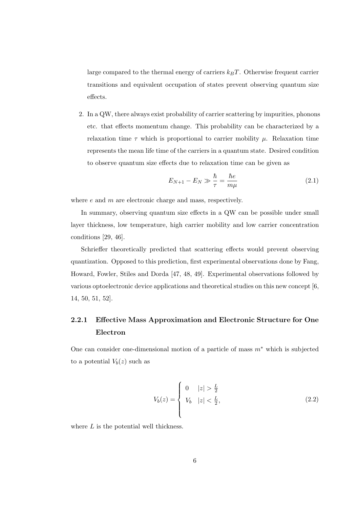large compared to the thermal energy of carriers  $k_BT$ . Otherwise frequent carrier transitions and equivalent occupation of states prevent observing quantum size effects.

2. In a QW, there always exist probability of carrier scattering by impurities, phonons etc. that effects momentum change. This probability can be characterized by a relaxation time  $\tau$  which is proportional to carrier mobility  $\mu$ . Relaxation time represents the mean life time of the carriers in a quantum state. Desired condition to observe quantum size effects due to relaxation time can be given as

$$
E_{N+1} - E_N \gg \frac{\hbar}{\tau} = \frac{\hbar e}{m\mu} \tag{2.1}
$$

where  $e$  and  $m$  are electronic charge and mass, respectively.

In summary, observing quantum size effects in a QW can be possible under small layer thickness, low temperature, high carrier mobility and low carrier concentration conditions [29, 46].

Schrieffer theoretically predicted that scattering effects would prevent observing quantization. Opposed to this prediction, first experimental observations done by Fang, Howard, Fowler, Stiles and Dorda [47, 48, 49]. Experimental observations followed by various optoelectronic device applications and theoretical studies on this new concept [6, 14, 50, 51, 52].

## 2.2.1 Effective Mass Approximation and Electronic Structure for One Electron

One can consider one-dimensional motion of a particle of mass  $m^*$  which is subjected to a potential  $V_b(z)$  such as

$$
V_b(z) = \begin{cases} 0 & |z| > \frac{L}{2} \\ V_b & |z| < \frac{L}{2}, \end{cases} \tag{2.2}
$$

where  $L$  is the potential well thickness.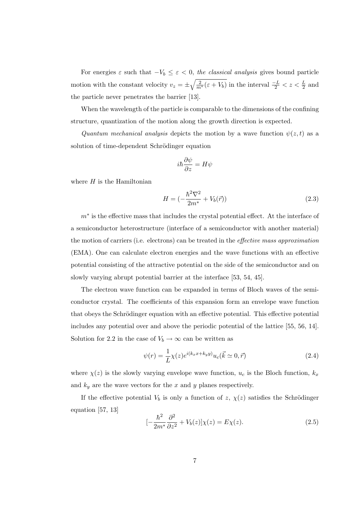For energies  $\varepsilon$  such that  $-V_b \le \varepsilon < 0$ , the classical analysis gives bound particle motion with the constant velocity  $v_z = \pm$  $\sqrt{\frac{2}{m^*}(\varepsilon + V_b)}$  in the interval  $\frac{-L}{2} < z < \frac{L}{2}$  and the particle never penetrates the barrier [13].

When the wavelength of the particle is comparable to the dimensions of the confining structure, quantization of the motion along the growth direction is expected.

Quantum mechanical analysis depicts the motion by a wave function  $\psi(z,t)$  as a solution of time-dependent Schrödinger equation

$$
i\hbar\frac{\partial\psi}{\partial z} = H\psi
$$

where  $H$  is the Hamiltonian

$$
H = \left(-\frac{\hbar^2 \nabla^2}{2m^*} + V_b(\vec{r})\right) \tag{2.3}
$$

 $m<sup>*</sup>$  is the effective mass that includes the crystal potential effect. At the interface of a semiconductor heterostructure (interface of a semiconductor with another material) the motion of carriers (i.e. electrons) can be treated in the effective mass approximation (EMA). One can calculate electron energies and the wave functions with an effective potential consisting of the attractive potential on the side of the semiconductor and on slowly varying abrupt potential barrier at the interface [53, 54, 45].

The electron wave function can be expanded in terms of Bloch waves of the semiconductor crystal. The coefficients of this expansion form an envelope wave function that obeys the Schrödinger equation with an effective potential. This effective potential includes any potential over and above the periodic potential of the lattice [55, 56, 14]. Solution for 2.2 in the case of  $V_b \rightarrow \infty$  can be written as

$$
\psi(r) = \frac{1}{L} \chi(z) e^{i(k_x x + k_y y)} u_c(\vec{k} \simeq 0, \vec{r}) \tag{2.4}
$$

where  $\chi(z)$  is the slowly varying envelope wave function,  $u_c$  is the Bloch function,  $k_x$ and  $k_y$  are the wave vectors for the x and y planes respectively.

If the effective potential  $V_b$  is only a function of z,  $\chi(z)$  satisfies the Schrödinger equation [57, 13]

$$
\left[-\frac{\hbar^2}{2m^*}\frac{\partial^2}{\partial z^2} + V_b(z)\right]\chi(z) = E\chi(z). \tag{2.5}
$$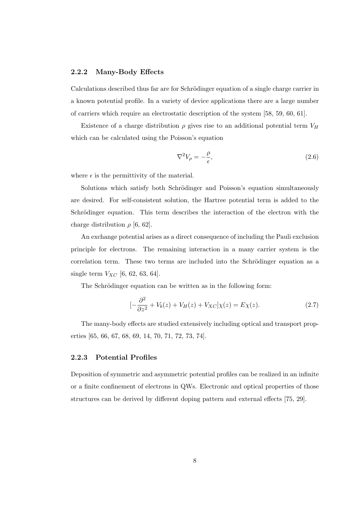#### 2.2.2 Many-Body Effects

Calculations described thus far are for Schrödinger equation of a single charge carrier in a known potential profile. In a variety of device applications there are a large number of carriers which require an electrostatic description of the system [58, 59, 60, 61].

Existence of a charge distribution  $\rho$  gives rise to an additional potential term  $V_H$ which can be calculated using the Poisson's equation

$$
\nabla^2 V_\rho = -\frac{\rho}{\epsilon},\tag{2.6}
$$

where  $\epsilon$  is the permittivity of the material.

Solutions which satisfy both Schrödinger and Poisson's equation simultaneously are desired. For self-consistent solution, the Hartree potential term is added to the Schrödinger equation. This term describes the interaction of the electron with the charge distribution  $\rho$  [6, 62].

An exchange potential arises as a direct consequence of including the Pauli exclusion principle for electrons. The remaining interaction in a many carrier system is the correlation term. These two terms are included into the Schrödinger equation as a single term  $V_{XC}$  [6, 62, 63, 64].

The Schrödinger equation can be written as in the following form:

$$
\left[-\frac{\partial^2}{\partial z^2} + V_b(z) + V_H(z) + V_{XC}\right]\chi(z) = E\chi(z). \tag{2.7}
$$

The many-body effects are studied extensively including optical and transport properties [65, 66, 67, 68, 69, 14, 70, 71, 72, 73, 74].

#### 2.2.3 Potential Profiles

Deposition of symmetric and asymmetric potential profiles can be realized in an infinite or a finite confinement of electrons in QWs. Electronic and optical properties of those structures can be derived by different doping pattern and external effects [75, 29].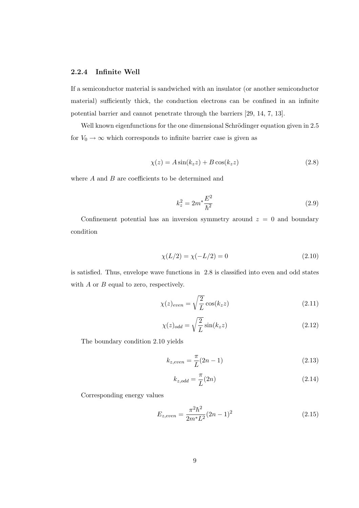#### 2.2.4 Infinite Well

If a semiconductor material is sandwiched with an insulator (or another semiconductor material) sufficiently thick, the conduction electrons can be confined in an infinite potential barrier and cannot penetrate through the barriers [29, 14, 7, 13].

Well known eigenfunctions for the one dimensional Schrödinger equation given in 2.5 for  $V_0 \rightarrow \infty$  which corresponds to infinite barrier case is given as

$$
\chi(z) = A\sin(k_z z) + B\cos(k_z z) \tag{2.8}
$$

where  $A$  and  $B$  are coefficients to be determined and

$$
k_z^2 = 2m^* \frac{E^2}{\hbar^2}
$$
 (2.9)

Confinement potential has an inversion symmetry around  $z = 0$  and boundary condition

$$
\chi(L/2) = \chi(-L/2) = 0 \tag{2.10}
$$

is satisfied. Thus, envelope wave functions in 2.8 is classified into even and odd states with  $A$  or  $B$  equal to zero, respectively.

$$
\chi(z)_{even} = \sqrt{\frac{2}{L}} \cos(k_z z) \tag{2.11}
$$

$$
\chi(z)_{odd} = \sqrt{\frac{2}{L}} \sin(k_z z) \tag{2.12}
$$

The boundary condition 2.10 yields

$$
k_{z,even} = \frac{\pi}{L}(2n - 1)
$$
 (2.13)

$$
k_{z,odd} = \frac{\pi}{L}(2n) \tag{2.14}
$$

Corresponding energy values

$$
E_{z,even} = \frac{\pi^2 \hbar^2}{2m^* L^2} (2n-1)^2
$$
\n(2.15)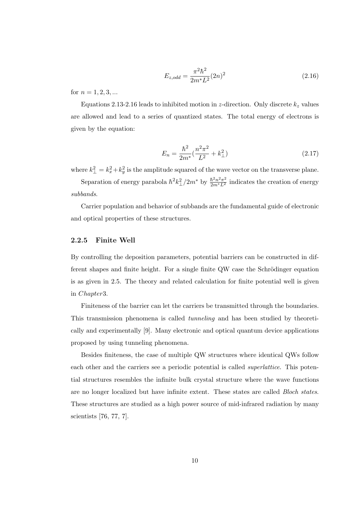$$
E_{z,odd} = \frac{\pi^2 \hbar^2}{2m^* L^2} (2n)^2
$$
\n(2.16)

for  $n = 1, 2, 3, ...$ 

Equations 2.13-2.16 leads to inhibited motion in z-direction. Only discrete  $k_z$  values are allowed and lead to a series of quantized states. The total energy of electrons is given by the equation:

$$
E_n = \frac{\hbar^2}{2m^*} \left(\frac{n^2 \pi^2}{L^2} + k_\perp^2\right) \tag{2.17}
$$

where  $k_{\perp}^2 = k_x^2 + k_y^2$  is the amplitude squared of the wave vector on the transverse plane.

Separation of energy parabola  $\hbar^2 k_\perp^2/2m^*$  by  $\frac{\hbar^2 n^2 \pi^2}{2m^* L^2}$  indicates the creation of energy subbands.

Carrier population and behavior of subbands are the fundamental guide of electronic and optical properties of these structures.

#### 2.2.5 Finite Well

By controlling the deposition parameters, potential barriers can be constructed in different shapes and finite height. For a single finite QW case the Schrödinger equation is as given in 2.5. The theory and related calculation for finite potential well is given in Chapter3.

Finiteness of the barrier can let the carriers be transmitted through the boundaries. This transmission phenomena is called tunneling and has been studied by theoretically and experimentally [9]. Many electronic and optical quantum device applications proposed by using tunneling phenomena.

Besides finiteness, the case of multiple QW structures where identical QWs follow each other and the carriers see a periodic potential is called *superlattice*. This potential structures resembles the infinite bulk crystal structure where the wave functions are no longer localized but have infinite extent. These states are called Bloch states. These structures are studied as a high power source of mid-infrared radiation by many scientists [76, 77, 7].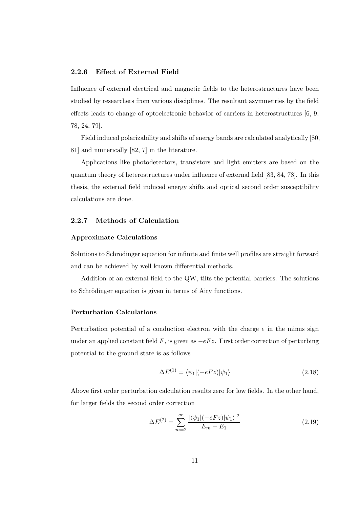#### 2.2.6 Effect of External Field

Influence of external electrical and magnetic fields to the heterostructures have been studied by researchers from various disciplines. The resultant asymmetries by the field effects leads to change of optoelectronic behavior of carriers in heterostructures [6, 9, 78, 24, 79].

Field induced polarizability and shifts of energy bands are calculated analytically [80, 81] and numerically [82, 7] in the literature.

Applications like photodetectors, transistors and light emitters are based on the quantum theory of heterostructures under influence of external field [83, 84, 78]. In this thesis, the external field induced energy shifts and optical second order susceptibility calculations are done.

#### 2.2.7 Methods of Calculation

#### Approximate Calculations

Solutions to Schrödinger equation for infinite and finite well profiles are straight forward and can be achieved by well known differential methods.

Addition of an external field to the QW, tilts the potential barriers. The solutions to Schrödinger equation is given in terms of Airy functions.

#### Perturbation Calculations

Perturbation potential of a conduction electron with the charge  $e$  in the minus sign under an applied constant field F, is given as  $-eFz$ . First order correction of perturbing potential to the ground state is as follows

$$
\Delta E^{(1)} = \langle \psi_1 | (-eFz) | \psi_1 \rangle \tag{2.18}
$$

Above first order perturbation calculation results zero for low fields. In the other hand, for larger fields the second order correction

$$
\Delta E^{(2)} = \sum_{m=2}^{\infty} \frac{|\langle \psi_1 | (-eFz) | \psi_1 \rangle|^2}{E_m - E_1}
$$
\n(2.19)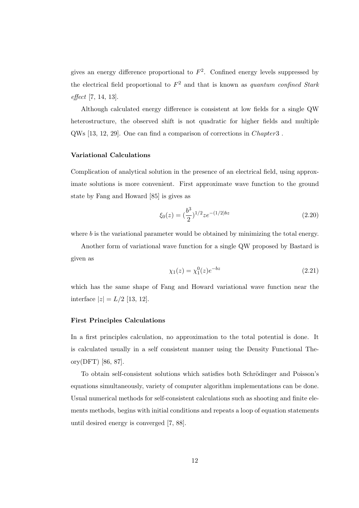gives an energy difference proportional to  $F<sup>2</sup>$ . Confined energy levels suppressed by the electrical field proportional to  $F^2$  and that is known as quantum confined Stark effect [7, 14, 13].

Although calculated energy difference is consistent at low fields for a single QW heterostructure, the observed shift is not quadratic for higher fields and multiple QWs [13, 12, 29]. One can find a comparison of corrections in Chapter3 .

#### Variational Calculations

Complication of analytical solution in the presence of an electrical field, using approximate solutions is more convenient. First approximate wave function to the ground state by Fang and Howard [85] is gives as

$$
\xi_0(z) = \left(\frac{b^3}{2}\right)^{1/2} z e^{-(1/2)bz} \tag{2.20}
$$

where  $b$  is the variational parameter would be obtained by minimizing the total energy.

Another form of variational wave function for a single QW proposed by Bastard is given as

$$
\chi_1(z) = \chi_1^0(z)e^{-bz} \tag{2.21}
$$

which has the same shape of Fang and Howard variational wave function near the interface  $|z| = L/2$  [13, 12].

#### First Principles Calculations

In a first principles calculation, no approximation to the total potential is done. It is calculated usually in a self consistent manner using the Density Functional Theory(DFT) [86, 87].

To obtain self-consistent solutions which satisfies both Schrödinger and Poisson's equations simultaneously, variety of computer algorithm implementations can be done. Usual numerical methods for self-consistent calculations such as shooting and finite elements methods, begins with initial conditions and repeats a loop of equation statements until desired energy is converged [7, 88].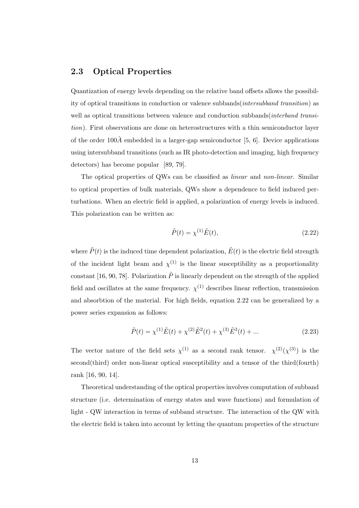## 2.3 Optical Properties

Quantization of energy levels depending on the relative band offsets allows the possibility of optical transitions in conduction or valence subbands(intersubband transition) as well as optical transitions between valence and conduction subbands(*interband transi*tion). First observations are done on heterostructures with a thin semiconductor layer of the order  $100\AA$  embedded in a larger-gap semiconductor [5, 6]. Device applications using intersubband transitions (such as IR photo-detection and imaging, high frequency detectors) has become popular [89, 79].

The optical properties of QWs can be classified as linear and non-linear. Similar to optical properties of bulk materials, QWs show a dependence to field induced perturbations. When an electric field is applied, a polarization of energy levels is induced. This polarization can be written as:

$$
\tilde{P}(t) = \chi^{(1)} \tilde{E}(t),\tag{2.22}
$$

where  $\tilde{P}(t)$  is the induced time dependent polarization,  $\tilde{E}(t)$  is the electric field strength of the incident light beam and  $\chi^{(1)}$  is the linear susceptibility as a proportionality constant [16, 90, 78]. Polarization  $\tilde{P}$  is linearly dependent on the strength of the applied field and oscillates at the same frequency.  $\chi^{(1)}$  describes linear reflection, transmission and absorbtion of the material. For high fields, equation 2.22 can be generalized by a power series expansion as follows:

$$
\tilde{P}(t) = \chi^{(1)} \tilde{E}(t) + \chi^{(2)} \tilde{E}^2(t) + \chi^{(3)} \tilde{E}^3(t) + \dots
$$
\n(2.23)

The vector nature of the field sets  $\chi^{(1)}$  as a second rank tensor.  $\chi^{(2)}(\chi^{(3)})$  is the second(third) order non-linear optical susceptibility and a tensor of the third(fourth) rank [16, 90, 14].

Theoretical understanding of the optical properties involves computation of subband structure (i.e. determination of energy states and wave functions) and formulation of light - QW interaction in terms of subband structure. The interaction of the QW with the electric field is taken into account by letting the quantum properties of the structure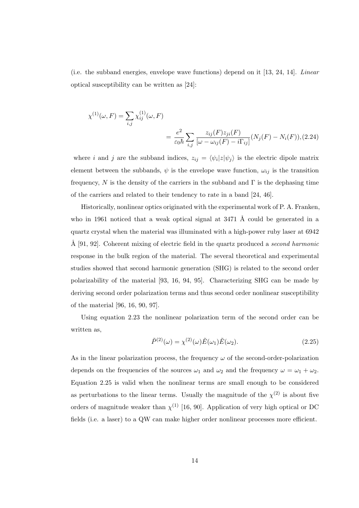(i.e. the subband energies, envelope wave functions) depend on it [13, 24, 14]. Linear optical susceptibility can be written as [24]:

$$
\chi^{(1)}(\omega, F) = \sum_{i,j} \chi_{ij}^{(1)}(\omega, F)
$$
  
= 
$$
\frac{e^2}{\varepsilon_0 \hbar} \sum_{i,j} \frac{z_{ij}(F) z_{ji}(F)}{[\omega - \omega_{ij}(F) - i\Gamma_{ij}]} (N_j(F) - N_i(F)), (2.24)
$$

where i and j are the subband indices,  $z_{ij} = \langle \psi_i | z | \psi_j \rangle$  is the electric dipole matrix element between the subbands,  $\psi$  is the envelope wave function,  $\omega_{ij}$  is the transition frequency, N is the density of the carriers in the subband and  $\Gamma$  is the dephasing time of the carriers and related to their tendency to rate in a band [24, 46].

Historically, nonlinear optics originated with the experimental work of P. A. Franken, who in 1961 noticed that a weak optical signal at  $3471 \text{ Å}$  could be generated in a quartz crystal when the material was illuminated with a high-power ruby laser at 6942  $\overline{A}$  [91, 92]. Coherent mixing of electric field in the quartz produced a second harmonic response in the bulk region of the material. The several theoretical and experimental studies showed that second harmonic generation (SHG) is related to the second order polarizability of the material [93, 16, 94, 95]. Characterizing SHG can be made by deriving second order polarization terms and thus second order nonlinear susceptibility of the material [96, 16, 90, 97].

Using equation 2.23 the nonlinear polarization term of the second order can be written as,

$$
\tilde{P}^{(2)}(\omega) = \chi^{(2)}(\omega) \tilde{E}(\omega_1) \tilde{E}(\omega_2).
$$
\n(2.25)

As in the linear polarization process, the frequency  $\omega$  of the second-order-polarization depends on the frequencies of the sources  $\omega_1$  and  $\omega_2$  and the frequency  $\omega = \omega_1 + \omega_2$ . Equation 2.25 is valid when the nonlinear terms are small enough to be considered as perturbations to the linear terms. Usually the magnitude of the  $\chi^{(2)}$  is about five orders of magnitude weaker than  $\chi^{(1)}$  [16, 90]. Application of very high optical or DC fields (i.e. a laser) to a QW can make higher order nonlinear processes more efficient.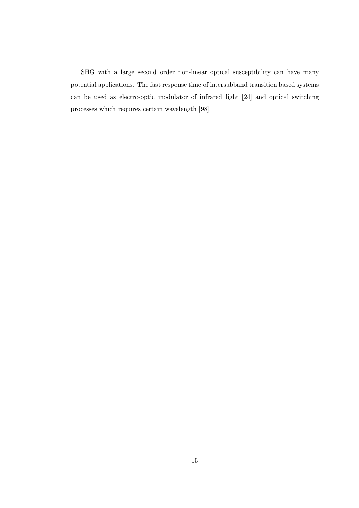SHG with a large second order non-linear optical susceptibility can have many potential applications. The fast response time of intersubband transition based systems can be used as electro-optic modulator of infrared light [24] and optical switching processes which requires certain wavelength [98].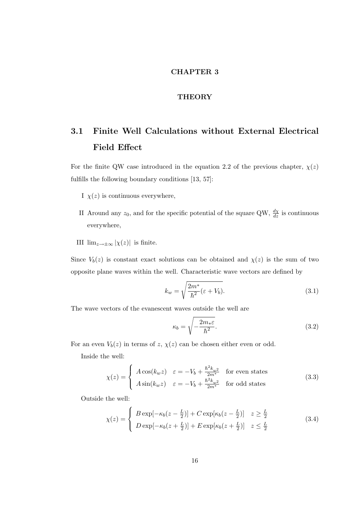#### CHAPTER 3

### **THEORY**

# 3.1 Finite Well Calculations without External Electrical Field Effect

For the finite QW case introduced in the equation 2.2 of the previous chapter,  $\chi(z)$ fulfills the following boundary conditions [13, 57]:

- I  $\chi(z)$  is continuous everywhere,
- II Around any  $z_0$ , and for the specific potential of the square QW,  $\frac{dx}{dz}$  is continuous everywhere,
- III  $\lim_{z\to\pm\infty} |\chi(z)|$  is finite.

Since  $V_b(z)$  is constant exact solutions can be obtained and  $\chi(z)$  is the sum of two opposite plane waves within the well. Characteristic wave vectors are defined by

$$
k_w = \sqrt{\frac{2m^*}{\hbar^2}(\varepsilon + V_b)}.
$$
\n(3.1)

The wave vectors of the evanescent waves outside the well are

$$
\kappa_b = \sqrt{-\frac{2m_*\varepsilon}{\hbar^2}}.\tag{3.2}
$$

For an even  $V_b(z)$  in terms of z,  $\chi(z)$  can be chosen either even or odd.

Inside the well:

$$
\chi(z) = \begin{cases}\nA\cos(k_w z) & \varepsilon = -V_b + \frac{\hbar^2 k_w^2}{2m^*} & \text{for even states} \\
A\sin(k_w z) & \varepsilon = -V_b + \frac{\hbar^2 k_w^2}{2m^*} & \text{for odd states}\n\end{cases}
$$
\n(3.3)

Outside the well:

$$
\chi(z) = \begin{cases} B \exp[-\kappa_b(z - \frac{L}{2})] + C \exp[\kappa_b(z - \frac{L}{2})] & z \ge \frac{L}{2} \\ D \exp[-\kappa_b(z + \frac{L}{2})] + E \exp[\kappa_b(z + \frac{L}{2})] & z \le \frac{L}{2} \end{cases}
$$
(3.4)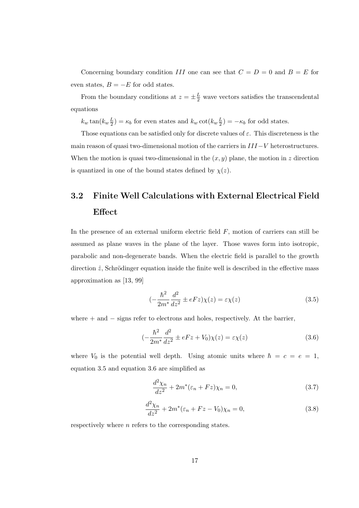Concerning boundary condition  $III$  one can see that  $C = D = 0$  and  $B = E$  for even states,  $B = -E$  for odd states.

From the boundary conditions at  $z = \pm \frac{L}{2}$  wave vectors satisfies the transcendental equations

 $k_w \tan(k_w \frac{L}{2})$  $\frac{L}{2}$ ) =  $\kappa_b$  for even states and  $k_w \cot(k_w \frac{L}{2})$  $(\frac{L}{2}) = -\kappa_b$  for odd states.

Those equations can be satisfied only for discrete values of  $\varepsilon$ . This discreteness is the main reason of quasi two-dimensional motion of the carriers in  $III-V$  heterostructures. When the motion is quasi two-dimensional in the  $(x, y)$  plane, the motion in z direction is quantized in one of the bound states defined by  $\chi(z)$ .

# 3.2 Finite Well Calculations with External Electrical Field Effect

In the presence of an external uniform electric field  $F$ , motion of carriers can still be assumed as plane waves in the plane of the layer. Those waves form into isotropic, parabolic and non-degenerate bands. When the electric field is parallel to the growth direction  $\hat{z}$ , Schrödinger equation inside the finite well is described in the effective mass approximation as [13, 99]

$$
\left(-\frac{\hbar^2}{2m^*}\frac{d^2}{dz^2} \pm eFz\right)\chi(z) = \varepsilon\chi(z)
$$
\n(3.5)

where  $+$  and  $-$  signs refer to electrons and holes, respectively. At the barrier,

$$
\left(-\frac{\hbar^2}{2m^*}\frac{d^2}{dz^2} \pm eFz + V_0\right)\chi(z) = \varepsilon\chi(z)
$$
\n(3.6)

where  $V_0$  is the potential well depth. Using atomic units where  $\hbar = c = e = 1$ , equation 3.5 and equation 3.6 are simplified as

$$
\frac{d^2\chi_n}{dz^2} + 2m^*(\varepsilon_n + Fz)\chi_n = 0,
$$
\n(3.7)

$$
\frac{d^2\chi_n}{dz^2} + 2m^*(\varepsilon_n + Fz - V_0)\chi_n = 0,
$$
\n(3.8)

respectively where *n* refers to the corresponding states.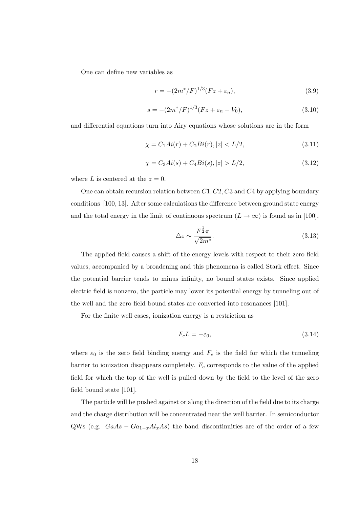One can define new variables as

$$
r = -(2m^*/F)^{1/3}(Fz + \varepsilon_n),
$$
\n(3.9)

$$
s = -(2m^*/F)^{1/3}(Fz + \varepsilon_n - V_0),
$$
\n(3.10)

and differential equations turn into Airy equations whose solutions are in the form

$$
\chi = C_1 Ai(r) + C_2 Bi(r), |z| < L/2,\tag{3.11}
$$

$$
\chi = C_3 Ai(s) + C_4 Bi(s), |z| > L/2,
$$
\n(3.12)

where L is centered at the  $z = 0$ .

One can obtain recursion relation between  $C_1, C_2, C_3$  and  $C_4$  by applying boundary conditions [100, 13]. After some calculations the difference between ground state energy and the total energy in the limit of continuous spectrum  $(L \to \infty)$  is found as in [100],

$$
\Delta \varepsilon \sim \frac{F^{\frac{1}{2}} \pi}{\sqrt{2m^*}}.
$$
\n(3.13)

The applied field causes a shift of the energy levels with respect to their zero field values, accompanied by a broadening and this phenomena is called Stark effect. Since the potential barrier tends to minus infinity, no bound states exists. Since applied electric field is nonzero, the particle may lower its potential energy by tunneling out of the well and the zero field bound states are converted into resonances [101].

For the finite well cases, ionization energy is a restriction as

$$
F_c L = -\varepsilon_0,\tag{3.14}
$$

where  $\varepsilon_0$  is the zero field binding energy and  $F_c$  is the field for which the tunneling barrier to ionization disappears completely.  $F_c$  corresponds to the value of the applied field for which the top of the well is pulled down by the field to the level of the zero field bound state [101].

The particle will be pushed against or along the direction of the field due to its charge and the charge distribution will be concentrated near the well barrier. In semiconductor QWs (e.g.  $GaAs - Ga_{1-x}Al_xAs$ ) the band discontinuities are of the order of a few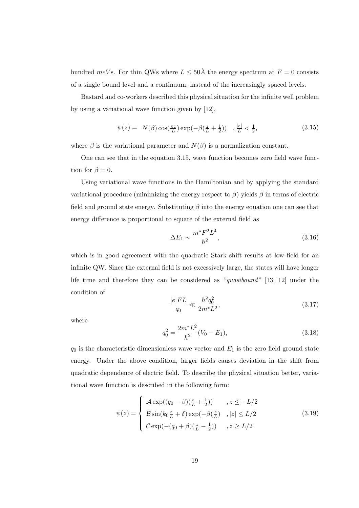hundred meVs. For thin QWs where  $L \leq 50\AA$  the energy spectrum at  $F = 0$  consists of a single bound level and a continuum, instead of the increasingly spaced levels.

Bastard and co-workers described this physical situation for the infinite well problem by using a variational wave function given by [12],

$$
\psi(z) = N(\beta) \cos\left(\frac{\pi z}{L}\right) \exp\left(-\beta\left(\frac{z}{L} + \frac{1}{2}\right)\right) , \frac{|z|}{L} < \frac{1}{2}, \tag{3.15}
$$

where  $\beta$  is the variational parameter and  $N(\beta)$  is a normalization constant.

One can see that in the equation 3.15, wave function becomes zero field wave function for  $\beta = 0$ .

Using variational wave functions in the Hamiltonian and by applying the standard variational procedure (minimizing the energy respect to  $\beta$ ) yields  $\beta$  in terms of electric field and ground state energy. Substituting  $\beta$  into the energy equation one can see that energy difference is proportional to square of the external field as

$$
\Delta E_1 \sim \frac{m^* F^2 L^4}{\hbar^2},\tag{3.16}
$$

which is in good agreement with the quadratic Stark shift results at low field for an infinite QW. Since the external field is not excessively large, the states will have longer life time and therefore they can be considered as "quasibound" [13, 12] under the condition of

$$
\frac{|e|FL}{q_0} \ll \frac{\hbar^2 q_0^2}{2m^* L^2},\tag{3.17}
$$

where

$$
q_0^2 = \frac{2m^*L^2}{\hbar^2}(V_0 - E_1),\tag{3.18}
$$

 $q_0$  is the characteristic dimensionless wave vector and  $E_1$  is the zero field ground state energy. Under the above condition, larger fields causes deviation in the shift from quadratic dependence of electric field. To describe the physical situation better, variational wave function is described in the following form:

$$
\psi(z) = \begin{cases}\n\mathcal{A}\exp((q_0 - \beta)(\frac{z}{L} + \frac{1}{2})) & , z \le -L/2 \\
\mathcal{B}\sin(k_0 \frac{z}{L} + \delta)\exp(-\beta(\frac{z}{L}) & , |z| \le L/2 \\
\mathcal{C}\exp(-(q_0 + \beta)(\frac{z}{L} - \frac{1}{2})) & , z \ge L/2\n\end{cases}
$$
\n(3.19)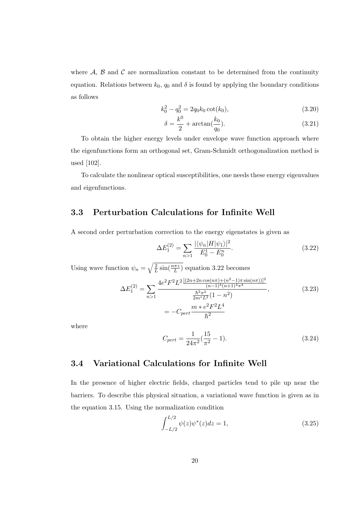where  $A, B$  and  $C$  are normalization constant to be determined from the continuity equation. Relations between  $k_0$ ,  $q_0$  and  $\delta$  is found by applying the boundary conditions as follows

$$
k_0^2 - q_0^2 = 2q_0k_0 \cot(k_0),
$$
\n(3.20)

$$
\delta = \frac{k^0}{2} + \arctan(\frac{k_0}{q_0}).
$$
\n(3.21)

To obtain the higher energy levels under envelope wave function approach where the eigenfunctions form an orthogonal set, Gram-Schmidt orthogonalization method is used [102].

To calculate the nonlinear optical susceptibilities, one needs these energy eigenvalues and eigenfunctions.

## 3.3 Perturbation Calculations for Infinite Well

A second order perturbation correction to the energy eigenstates is given as

$$
\Delta E_1^{(2)} = \sum_{n>1} \frac{|\langle \psi_n | H | \psi_1 \rangle|^2}{E_0^1 - E_0^n}.
$$
\n(3.22)

Using wave function  $\psi_n =$  $\sqrt{2}$  $\frac{2}{L}\sin(\frac{n\pi z}{L})$  equation 3.22 becomes

$$
\Delta E_1^{(2)} = \sum_{n>1} \frac{4e^2 F^2 L^2 \frac{[(2n+2n\cos(n\pi)+(n^2-1)\pi\sin(n\pi))]^2}{(n-1)^4(n+1)^4\pi^4}}{\frac{\hbar^2 \pi^2}{2m^* L^2} (1-n^2)},
$$
\n
$$
= -C_{pert} \frac{m*e^2 F^2 L^4}{\hbar^2}
$$
\n(3.23)

where

$$
C_{pert} = \frac{1}{24\pi^2} \left(\frac{15}{\pi^2} - 1\right).
$$
 (3.24)

## 3.4 Variational Calculations for Infinite Well

In the presence of higher electric fields, charged particles tend to pile up near the barriers. To describe this physical situation, a variational wave function is given as in the equation 3.15. Using the normalization condition

$$
\int_{-L/2}^{L/2} \psi(z)\psi^*(z)dz = 1,
$$
\n(3.25)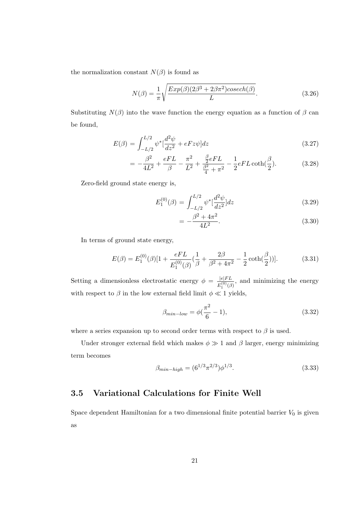the normalization constant  $N(\beta)$  is found as

$$
N(\beta) = \frac{1}{\pi} \sqrt{\frac{Exp(\beta)(2\beta^3 + 2\beta\pi^2) \cosech(\beta)}{L}}.
$$
\n(3.26)

Substituting  $N(\beta)$  into the wave function the energy equation as a function of  $\beta$  can be found,

$$
E(\beta) = \int_{-L/2}^{L/2} \psi^* \left[ \frac{d^2 \psi}{dz^2} + eFz\psi \right] dz \tag{3.27}
$$

$$
= -\frac{\beta^2}{4L^2} + \frac{eFL}{\beta} - \frac{\pi^2}{L^2} + \frac{\frac{\beta}{2}eFL}{\frac{\beta^2}{4} + \pi^2} - \frac{1}{2}eFL \coth(\frac{\beta}{2}).
$$
 (3.28)

Zero-field ground state energy is,

$$
E_1^{(0)}(\beta) = \int_{-L/2}^{L/2} \psi^* \left[\frac{d^2 \psi}{dz^2}\right] dz \tag{3.29}
$$

$$
= -\frac{\beta^2 + 4\pi^2}{4L^2}.
$$
\n(3.30)

In terms of ground state energy,

$$
E(\beta) = E_1^{(0)}(\beta)[1 + \frac{eFL}{E_1^{(0)}(\beta)}(\frac{1}{\beta} + \frac{2\beta}{\beta^2 + 4\pi^2} - \frac{1}{2}\coth(\frac{\beta}{2}))].
$$
 (3.31)

Setting a dimensionless electrostatic energy  $\phi = \frac{|e|FL}{r^{(0)} \epsilon^2}$  $\frac{|e|F L}{E_1^{(0)}(\beta)}$ , and minimizing the energy with respect to  $\beta$  in the low external field limit  $\phi \ll 1$  yields,

$$
\beta_{min-low} = \phi(\frac{\pi^2}{6} - 1),
$$
\n(3.32)

where a series expansion up to second order terms with respect to  $\beta$  is used.

Under stronger external field which makes  $\phi \gg 1$  and  $\beta$  larger, energy minimizing term becomes

$$
\beta_{min-high} = (6^{1/3}\pi^{2/3})\phi^{1/3}.
$$
\n(3.33)

## 3.5 Variational Calculations for Finite Well

Space dependent Hamiltonian for a two dimensional finite potential barrier  $V_0$  is given as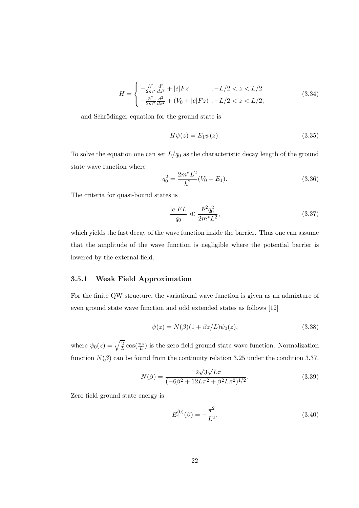$$
H = \begin{cases} -\frac{\hbar^2}{2m^*} \frac{d^2}{dz^2} + |e| Fz, & -L/2 < z < L/2\\ -\frac{\hbar^2}{2m^*} \frac{d^2}{dz^2} + (V_0 + |e| Fz), -L/2 < z < L/2, \end{cases}
$$
(3.34)

and Schrödinger equation for the ground state is

$$
H\psi(z) = E_1\psi(z). \tag{3.35}
$$

To solve the equation one can set  $L/q_0$  as the characteristic decay length of the ground state wave function where

$$
q_0^2 = \frac{2m^*L^2}{\hbar^2}(V_0 - E_1).
$$
 (3.36)

The criteria for quasi-bound states is

$$
\frac{|e|FL}{q_0} \ll \frac{\hbar^2 q_0^2}{2m^* L^2},\tag{3.37}
$$

which yields the fast decay of the wave function inside the barrier. Thus one can assume that the amplitude of the wave function is negligible where the potential barrier is lowered by the external field.

#### 3.5.1 Weak Field Approximation

For the finite QW structure, the variational wave function is given as an admixture of even ground state wave function and odd extended states as follows [12]

$$
\psi(z) = N(\beta)(1 + \beta z/L)\psi_0(z),\tag{3.38}
$$

where  $\psi_0(z) = \sqrt{\frac{2}{L}}$  $\frac{2}{L} \cos(\frac{\pi z}{L})$  is the zero field ground state wave function. Normalization function  $N(\beta)$  can be found from the continuity relation 3.25 under the condition 3.37,

$$
N(\beta) = \frac{\pm 2\sqrt{3}\sqrt{L}\pi}{(-6\beta^2 + 12L\pi^2 + \beta^2 L\pi^2)^{1/2}}.
$$
\n(3.39)

Zero field ground state energy is

$$
E_1^{(0)}(\beta) = -\frac{\pi^2}{L^2}.
$$
\n(3.40)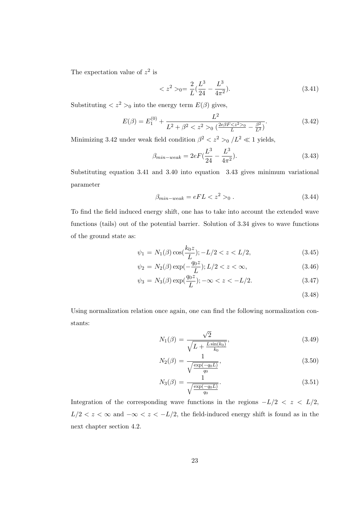The expectation value of  $z^2$  is

$$
\langle z^2 \rangle_{0} = \frac{2}{L} (\frac{L^3}{24} - \frac{L^3}{4\pi^2}). \tag{3.41}
$$

Substituting  $\langle z^2 \rangle_0$  into the energy term  $E(\beta)$  gives,

$$
E(\beta) = E_1^{(0)} + \frac{L^2}{L^2 + \beta^2 < z^2 >_0 \left(\frac{2e\beta F < z^2 >_0}{L} - \frac{\beta^2}{L^2}\right)}.\tag{3.42}
$$

Minimizing 3.42 under weak field condition  $\beta^2 < z^2 >_0 /L^2 \ll 1$  yields,

$$
\beta_{min-weak} = 2eF(\frac{L^3}{24} - \frac{L^3}{4\pi^2}).
$$
\n(3.43)

Substituting equation 3.41 and 3.40 into equation 3.43 gives minimum variational parameter

$$
\beta_{\min-\text{weak}} = eFL < z^2 >_0. \tag{3.44}
$$

To find the field induced energy shift, one has to take into account the extended wave functions (tails) out of the potential barrier. Solution of 3.34 gives to wave functions of the ground state as:

$$
\psi_1 = N_1(\beta) \cos(\frac{k_0 z}{L}); -L/2 < z < L/2,\tag{3.45}
$$

$$
\psi_2 = N_2(\beta) \exp(-\frac{q_0 z}{L}); L/2 < z < \infty,\tag{3.46}
$$

$$
\psi_3 = N_3(\beta) \exp(\frac{q_0 z}{L}); -\infty < z < -L/2. \tag{3.47}
$$

(3.48)

Using normalization relation once again, one can find the following normalization constants:

$$
N_1(\beta) = \frac{\sqrt{2}}{\sqrt{L + \frac{L\sin(k_0)}{k_0}}},
$$
\n(3.49)

$$
N_2(\beta) = \frac{1}{\sqrt{\frac{\exp(-q_0 L)}{q_0}}},\tag{3.50}
$$

$$
N_3(\beta) = \frac{1}{\sqrt{\frac{\exp(-q_0 L)}{q_0}}}.
$$
\n(3.51)

Integration of the corresponding wave functions in the regions  $-L/2 < z < L/2$ ,  $L/2 < z < \infty$  and  $-\infty < z < -L/2$ , the field-induced energy shift is found as in the next chapter section 4.2.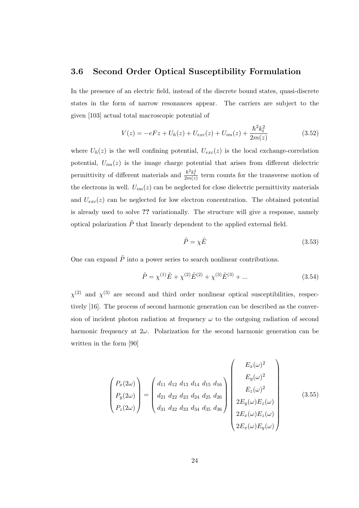## 3.6 Second Order Optical Susceptibility Formulation

In the presence of an electric field, instead of the discrete bound states, quasi-discrete states in the form of narrow resonances appear. The carriers are subject to the given [103] actual total macroscopic potential of

$$
V(z) = -eFz + U_h(z) + U_{exc}(z) + U_{im}(z) + \frac{\hbar^2 k_t^2}{2m(z)}
$$
(3.52)

where  $U_h(z)$  is the well confining potential,  $U_{exc}(z)$  is the local exchange-correlation potential,  $U_{im}(z)$  is the image charge potential that arises from different dielectric permittivity of different materials and  $\frac{\hbar^2 k_t^2}{2m(z)}$  term counts for the transverse motion of the electrons in well.  $U_{im}(z)$  can be neglected for close dielectric permittivity materials and  $U_{exc}(z)$  can be neglected for low electron concentration. The obtained potential is already used to solve ?? variationally. The structure will give a response, namely optical polarization  $\tilde{P}$  that linearly dependent to the applied external field.

$$
\tilde{P} = \chi \tilde{E} \tag{3.53}
$$

One can expand  $\tilde{P}$  into a power series to search nonlinear contributions.

$$
\tilde{P} = \chi^{(1)} \tilde{E} + \chi^{(2)} \tilde{E}^{(2)} + \chi^{(3)} \tilde{E}^{(3)} + \dots \tag{3.54}
$$

 $\chi^{(2)}$  and  $\chi^{(3)}$  are second and third order nonlinear optical susceptibilities, respectively [16]. The process of second harmonic generation can be described as the conversion of incident photon radiation at frequency  $\omega$  to the outgoing radiation of second harmonic frequency at  $2\omega$ . Polarization for the second harmonic generation can be written in the form [90]

$$
\begin{pmatrix}\nP_x(2\omega) \\
P_y(2\omega) \\
P_z(2\omega)\n\end{pmatrix} = \begin{pmatrix}\nd_{11} & d_{12} & d_{13} & d_{14} & d_{15} & d_{16} \\
d_{21} & d_{22} & d_{23} & d_{24} & d_{25} & d_{26} \\
d_{31} & d_{32} & d_{33} & d_{34} & d_{35} & d_{36}\n\end{pmatrix} \begin{pmatrix}\nE_x(\omega)^2 \\
E_y(\omega)^2 \\
E_z(\omega)^2 \\
2E_y(\omega)E_z(\omega) \\
2E_x(\omega)E_z(\omega) \\
2E_x(\omega)E_y(\omega)\n\end{pmatrix}
$$
\n(3.55)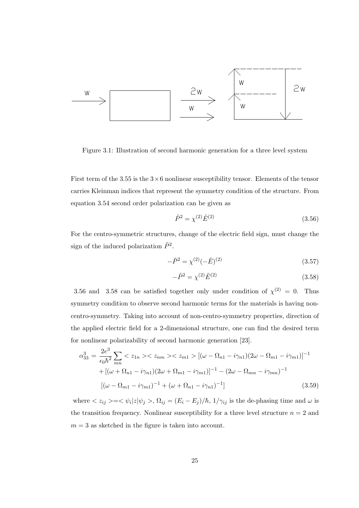

Figure 3.1: Illustration of second harmonic generation for a three level system

First term of the 3.55 is the  $3\times 6$  nonlinear susceptibility tensor. Elements of the tensor carries Kleinman indices that represent the symmetry condition of the structure. From equation 3.54 second order polarization can be given as

$$
\tilde{P}^2 = \chi^{(2)} \tilde{E}^{(2)} \tag{3.56}
$$

For the centro-symmetric structures, change of the electric field sign, must change the sign of the induced polarization  $\tilde{P}^2$ .

$$
-\tilde{P}^2 = \chi^{(2)}(-\tilde{E})^{(2)}\tag{3.57}
$$

$$
-\tilde{P}^2 = \chi^{(2)}\tilde{E}^{(2)}\tag{3.58}
$$

3.56 and 3.58 can be satisfied together only under condition of  $\chi^{(2)} = 0$ . Thus symmetry condition to observe second harmonic terms for the materials is having noncentro-symmetry. Taking into account of non-centro-symmetry properties, direction of the applied electric field for a 2-dimensional structure, one can find the desired term for nonlinear polarizability of second harmonic generation [23].

$$
\alpha_{33}^3 = \frac{2e^3}{\epsilon_0 \hbar^2} \sum_{mn} \langle z_{1n} \rangle \langle z_{nm} \rangle \langle z_{m1} \rangle \left[ (\omega - \Omega_{n1} - i\gamma_{n1}) (2\omega - \Omega_{m1} - i\gamma_{m1}) \right]^{-1} + [(\omega + \Omega_{n1} - i\gamma_{n1}) (2\omega + \Omega_{m1} - i\gamma_{m1})]^{-1} - (2\omega - \Omega_{mn} - i\gamma_{mn})^{-1} [(\omega - \Omega_{m1} - i\gamma_{m1})^{-1} + (\omega + \Omega_{n1} - i\gamma_{n1})^{-1}]
$$
(3.59)

where  $\langle z_{ij}\rangle = \langle \psi_i | z | \psi_j \rangle$ ,  $\Omega_{ij} = (E_i - E_j)/\hbar$ ,  $1/\gamma_{ij}$  is the de-phasing time and  $\omega$  is the transition frequency. Nonlinear susceptibility for a three level structure  $n = 2$  and  $m = 3$  as sketched in the figure is taken into account.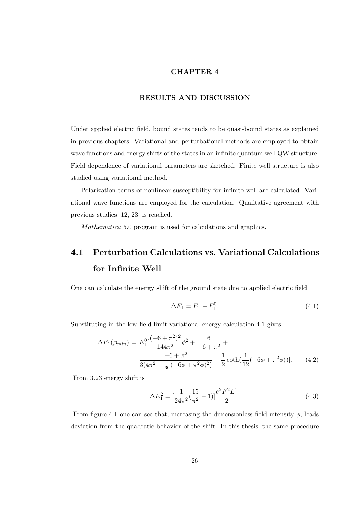#### CHAPTER 4

#### RESULTS AND DISCUSSION

Under applied electric field, bound states tends to be quasi-bound states as explained in previous chapters. Variational and perturbational methods are employed to obtain wave functions and energy shifts of the states in an infinite quantum well QW structure. Field dependence of variational parameters are sketched. Finite well structure is also studied using variational method.

Polarization terms of nonlinear susceptibility for infinite well are calculated. Variational wave functions are employed for the calculation. Qualitative agreement with previous studies [12, 23] is reached.

Mathematica 5.0 program is used for calculations and graphics.

# 4.1 Perturbation Calculations vs. Variational Calculations for Infinite Well

One can calculate the energy shift of the ground state due to applied electric field

$$
\Delta E_1 = E_1 - E_1^0. \tag{4.1}
$$

Substituting in the low field limit variational energy calculation 4.1 gives

$$
\Delta E_1(\beta_{min}) = E_1^0 \left[ \frac{(-6 + \pi^2)^2}{144\pi^2} \phi^2 + \frac{6}{-6 + \pi^2} + \frac{-6 + \pi^2}{3(4\pi^2 + \frac{1}{36}(-6\phi + \pi^2\phi))^2} - \frac{1}{2} \coth(\frac{1}{12}(-6\phi + \pi^2\phi)) \right].
$$
 (4.2)

From 3.23 energy shift is

$$
\Delta E_1^2 = \left[\frac{1}{24\pi^2} \left(\frac{15}{\pi^2} - 1\right)\right] \frac{e^2 F^2 L^4}{2}.\tag{4.3}
$$

From figure 4.1 one can see that, increasing the dimensionless field intensity  $\phi$ , leads deviation from the quadratic behavior of the shift. In this thesis, the same procedure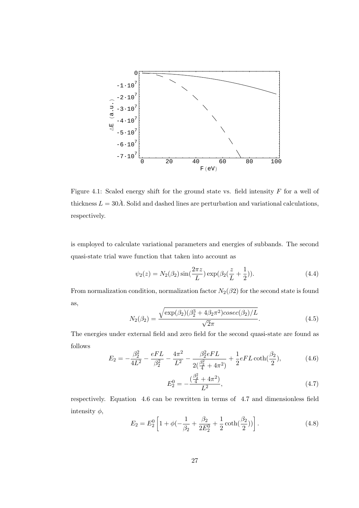

Figure 4.1: Scaled energy shift for the ground state vs. field intensity  $F$  for a well of thickness  $L = 30\AA$ . Solid and dashed lines are perturbation and variational calculations, respectively.

is employed to calculate variational parameters and energies of subbands. The second quasi-state trial wave function that taken into account as

$$
\psi_2(z) = N_2(\beta_2) \sin(\frac{2\pi z}{L}) \exp(\beta_2(\frac{z}{L} + \frac{1}{2})).
$$
\n(4.4)

From normalization condition, normalization factor  $N_2(\beta 2)$  for the second state is found as,  $\mathcal{L}_{\mathcal{A}}$ 

$$
N_2(\beta_2) = \frac{\sqrt{\exp(\beta_2)(\beta_2^3 + 4\beta_2 \pi^2)\csc(\beta_2)/L}}{\sqrt{2}\pi}.
$$
\n(4.5)

The energies under external field and zero field for the second quasi-state are found as follows

$$
E_2 = -\frac{\beta_2^2}{4L^2} - \frac{eFL}{\beta_2^2} - \frac{4\pi^2}{L^2} - \frac{\beta_2^2 eFL}{2(\frac{\beta_2^2}{4} + 4\pi^2)} + \frac{1}{2}eFL \coth(\frac{\beta_2}{2}),\tag{4.6}
$$

$$
E_2^0 = -\frac{\left(\frac{\beta_2^2}{4} + 4\pi^2\right)}{L^2},\tag{4.7}
$$

respectively. Equation 4.6 can be rewritten in terms of 4.7 and dimensionless field intensity  $\phi$ , ·

$$
E_2 = E_2^0 \left[ 1 + \phi \left( -\frac{1}{\beta_2} + \frac{\beta_2}{2E_2^0} + \frac{1}{2} \coth\left(\frac{\beta_2}{2}\right) \right) \right].
$$
 (4.8)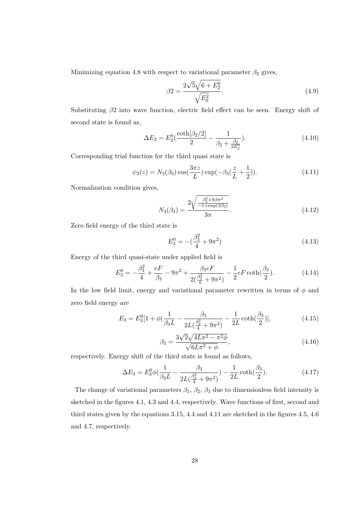Minimizing equation 4.8 with respect to variational parameter  $\beta_2$  gives,  $\mathcal{L}_{\mathcal{A}}$ 

$$
\beta 2 = \frac{2\sqrt{5}\sqrt{6 + E_2^0}}{\sqrt{E_0^2}}.
$$
\n(4.9)

Substituting  $\beta$ 2 into wave function, electric field effect can be seen. Energy shift of second state is found as,

$$
\Delta E_2 = E_2^0 \left( \frac{\coth[\beta_2/2]}{2} - \frac{1}{\beta_2 + \frac{\beta_2}{2E_2^0}} \right). \tag{4.10}
$$

Corresponding trial function for the third quasi state is

$$
\psi_3(z) = N_3(\beta_3) \cos(\frac{3\pi z}{L}) \exp(-\beta_3(\frac{z}{L} + \frac{1}{2})).
$$
\n(4.11)

Normalization condition gives,

$$
N_3(\beta_3) = \frac{2\sqrt{\frac{\beta_3^3 + 9\beta\pi^2}{-1 + \exp(2\beta_3)}}}{3\pi}.
$$
\n(4.12)

Zero field energy of the third state is

$$
E_3^0 = -\left(\frac{\beta_3^2}{4} + 9\pi^2\right) \tag{4.13}
$$

Energy of the third quasi-state under applied field is

$$
E_3^0 = -\frac{\beta_3^2}{4} + \frac{eF}{\beta_3} - 9\pi^2 + \frac{\beta_3 eF}{2(\frac{\beta_3^2}{4} + 9\pi^2)} - \frac{1}{2}eF \coth(\frac{\beta_3}{2}).\tag{4.14}
$$

In the low field limit, energy and variational parameter rewritten in terms of  $\phi$  and zero field energy are

$$
E_3 = E_3^0[1 + \phi(\frac{1}{\beta_3 L} - \frac{\beta_3}{2L(\frac{\beta_3^2}{4} + 9\pi^2)} - \frac{1}{2L}\coth(\frac{\beta_3}{2})],\tag{4.15}
$$

$$
\beta_3 = \frac{3\sqrt{2}\sqrt{4L\pi^2 - \pi^2\phi}}{\sqrt{6L\pi^2 + \phi}},
$$
\n(4.16)

respectively. Energy shift of the third state is found as follows,

$$
\Delta E_3 = E_3^0 \phi \left(\frac{1}{\beta_3 L} - \frac{\beta_3}{2L \left(\frac{\beta_3^2}{4} + 9\pi^2\right)}\right) - \frac{1}{2L} \coth\left(\frac{\beta_3}{2}\right). \tag{4.17}
$$

The change of variational parameters  $\beta_1$ ,  $\beta_2$ ,  $\beta_3$  due to dimensionless field intensity is sketched in the figures 4.1, 4.3 and 4.4, respectively. Wave functions of first, second and third states given by the equations 3.15, 4.4 and 4.11 are sketched in the figures 4.5, 4.6 and 4.7, respectively.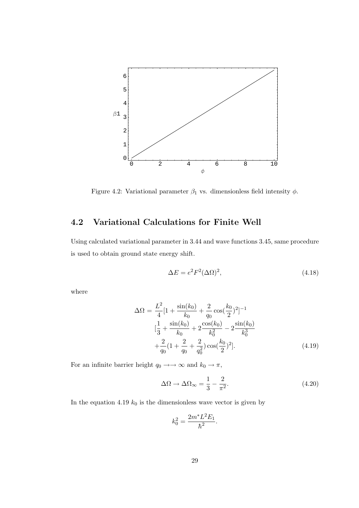

Figure 4.2: Variational parameter  $\beta_1$  vs. dimensionless field intensity  $\phi$ .

## 4.2 Variational Calculations for Finite Well

Using calculated variational parameter in 3.44 and wave functions 3.45, same procedure is used to obtain ground state energy shift.

$$
\Delta E = e^2 F^2 (\Delta \Omega)^2, \tag{4.18}
$$

where

$$
\Delta\Omega = \frac{L^2}{4} [1 + \frac{\sin(k_0)}{k_0} + \frac{2}{q_0} \cos(\frac{k_0}{2})^2]^{-1}
$$
  

$$
[\frac{1}{3} + \frac{\sin(k_0)}{k_0} + 2\frac{\cos(k_0)}{k_0^2} - 2\frac{\sin(k_0)}{k_0^3}
$$
  

$$
+\frac{2}{q_0} (1 + \frac{2}{q_0} + \frac{2}{q_0^2}) \cos(\frac{k_0}{2})^2].
$$
 (4.19)

For an infinite barrier height  $q_0 \rightarrow \rightarrow \infty$  and  $k_0 \rightarrow \pi,$ 

$$
\Delta\Omega \to \Delta\Omega_{\infty} = \frac{1}{3} - \frac{2}{\pi^2}.
$$
\n(4.20)

In the equation 4.19  $k_0$  is the dimensionless wave vector is given by

$$
k_0^2 = \frac{2m^*L^2E_1}{\hbar^2}
$$

.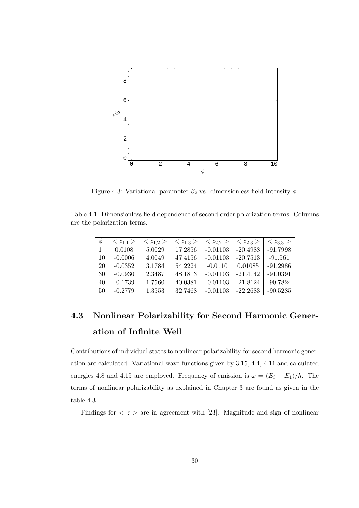

Figure 4.3: Variational parameter  $\beta_2$  vs. dimensionless field intensity  $\phi$ .

Table 4.1: Dimensionless field dependence of second order polarization terms. Columns are the polarization terms.

| $\varphi$ | $< z_{1,1} >$ | $< z_{1,2} >$ | $< z_{1,3} >$ | $< z_{2,2} >$ | $< z_{2,3} >$ | $< z_{3.3} >$ |
|-----------|---------------|---------------|---------------|---------------|---------------|---------------|
|           | 0.0108        | 5.0029        | 17.2856       | $-0.01103$    | $-20.4988$    | $-91.7998$    |
| 10        | $-0.0006$     | 4.0049        | 47.4156       | $-0.01103$    | $-20.7513$    | $-91.561$     |
| 20        | $-0.0352$     | 3.1784        | 54.2224       | $-0.0110$     | 0.01085       | $-91.2986$    |
| 30        | $-0.0930$     | 2.3487        | 48.1813       | $-0.01103$    | $-21.4142$    | $-91.0391$    |
| 40        | $-0.1739$     | 1.7560        | 40.0381       | $-0.01103$    | $-21.8124$    | $-90.7824$    |
| 50        | $-0.2779$     | 1.3553        | 32.7468       | $-0.01103$    | $-22.2683$    | $-90.5285$    |

# 4.3 Nonlinear Polarizability for Second Harmonic Generation of Infinite Well

Contributions of individual states to nonlinear polarizability for second harmonic generation are calculated. Variational wave functions given by 3.15, 4.4, 4.11 and calculated energies 4.8 and 4.15 are employed. Frequency of emission is  $\omega = (E_3 - E_1)/\hbar$ . The terms of nonlinear polarizability as explained in Chapter 3 are found as given in the table 4.3.

Findings for  $\langle z \rangle$  are in agreement with [23]. Magnitude and sign of nonlinear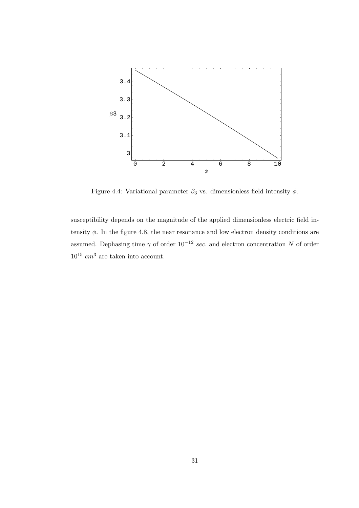

Figure 4.4: Variational parameter  $\beta_3$  vs. dimensionless field intensity  $\phi$ .

susceptibility depends on the magnitude of the applied dimensionless electric field intensity  $\phi$ . In the figure 4.8, the near resonance and low electron density conditions are assumed. Dephasing time  $\gamma$  of order  $10^{-12}$  sec. and electron concentration N of order  $10^{15}$   $cm^3$  are taken into account.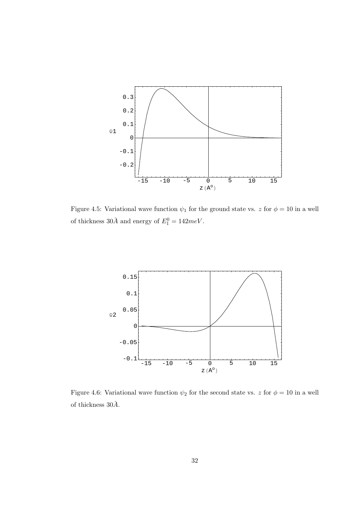

Figure 4.5: Variational wave function  $\psi_1$  for the ground state vs. z for  $\phi = 10$  in a well of thickness  $30\AA$  and energy of  $E_1^0 = 142 meV$ .



Figure 4.6: Variational wave function  $\psi_2$  for the second state vs. z for  $\phi = 10$  in a well of thickness  $30\AA$ .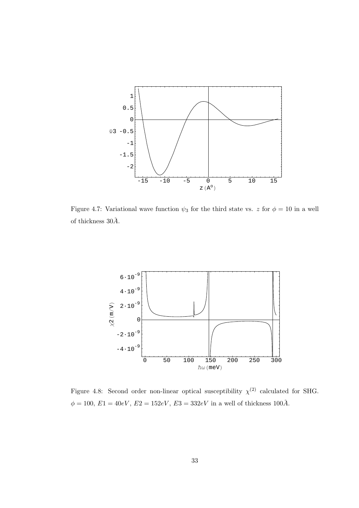

Figure 4.7: Variational wave function  $\psi_3$  for the third state vs. z for  $\phi = 10$  in a well of thickness  $30\AA$ .



Figure 4.8: Second order non-linear optical susceptibility  $\chi^{(2)}$  calculated for SHG.  $\phi = 100, \, E1 = 40 eV, \, E2 = 152 eV, \, E3 = 332 eV$  in a well of thickness  $100\AA$ .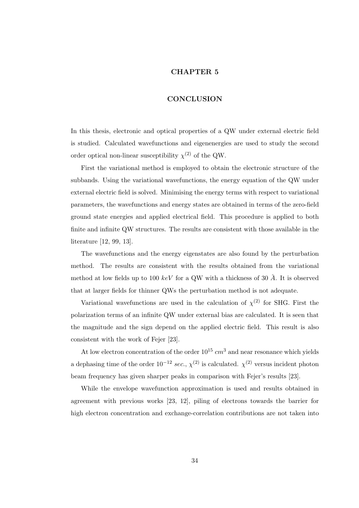#### CHAPTER 5

#### **CONCLUSION**

In this thesis, electronic and optical properties of a QW under external electric field is studied. Calculated wavefunctions and eigenenergies are used to study the second order optical non-linear susceptibility  $\chi^{(2)}$  of the QW.

First the variational method is employed to obtain the electronic structure of the subbands. Using the variational wavefunctions, the energy equation of the QW under external electric field is solved. Minimising the energy terms with respect to variational parameters, the wavefunctions and energy states are obtained in terms of the zero-field ground state energies and applied electrical field. This procedure is applied to both finite and infinite QW structures. The results are consistent with those available in the literature [12, 99, 13].

The wavefunctions and the energy eigenstates are also found by the perturbation method. The results are consistent with the results obtained from the variational method at low fields up to 100  $keV$  for a QW with a thickness of 30  $\AA$ . It is observed that at larger fields for thinner QWs the perturbation method is not adequate.

Variational wavefunctions are used in the calculation of  $\chi^{(2)}$  for SHG. First the polarization terms of an infinite QW under external bias are calculated. It is seen that the magnitude and the sign depend on the applied electric field. This result is also consistent with the work of Fejer [23].

At low electron concentration of the order  $10^{15}$  cm<sup>3</sup> and near resonance which yields a dephasing time of the order  $10^{-12}$  sec.,  $\chi^{(2)}$  is calculated.  $\chi^{(2)}$  versus incident photon beam frequency has given sharper peaks in comparison with Fejer's results [23].

While the envelope wavefunction approximation is used and results obtained in agreement with previous works [23, 12], piling of electrons towards the barrier for high electron concentration and exchange-correlation contributions are not taken into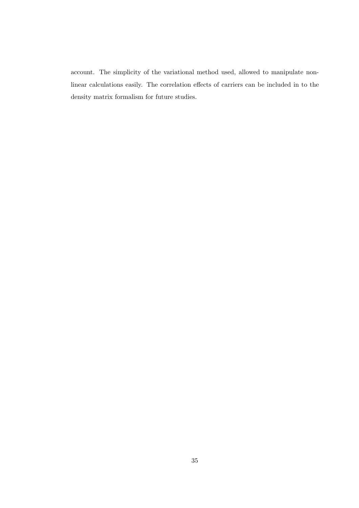account. The simplicity of the variational method used, allowed to manipulate nonlinear calculations easily. The correlation effects of carriers can be included in to the density matrix formalism for future studies.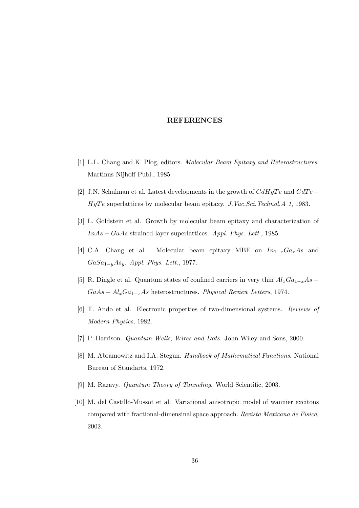#### REFERENCES

- [1] L.L. Chang and K. Plog, editors. Molecular Beam Epitaxy and Heterostructures. Martinus Nijhoff Publ., 1985.
- [2] J.N. Schulman et al. Latest developments in the growth of  $CdHqTe$  and  $CdTe HgTe$  superlattices by molecular beam epitaxy. *J.Vac.Sci.Technol.A 1*, 1983.
- [3] L. Goldstein et al. Growth by molecular beam epitaxy and characterization of InAs − GaAs strained-layer superlattices. Appl. Phys. Lett., 1985.
- [4] C.A. Chang et al. Molecular beam epitaxy MBE on  $In_{1-x}Ga_xAs$  and  $GaSa_{1-y}As_y$ . Appl. Phys. Lett., 1977.
- [5] R. Dingle et al. Quantum states of confined carriers in very thin  $Al_xGa_{1-x}As$   $GaAs - Al_xGa_{1-x}As$  heterostructures. Physical Review Letters, 1974.
- [6] T. Ando et al. Electronic properties of two-dimensional systems. Reviews of Modern Physics, 1982.
- [7] P. Harrison. Quantum Wells, Wires and Dots. John Wiley and Sons, 2000.
- [8] M. Abramowitz and I.A. Stegun. Handbook of Mathematical Functions. National Bureau of Standarts, 1972.
- [9] M. Razavy. Quantum Theory of Tunneling. World Scientific, 2003.
- [10] M. del Castillo-Mussot et al. Variational anisotropic model of wannier excitons compared with fractional-dimensinal space approach. Revista Mexicana de Fisica, 2002.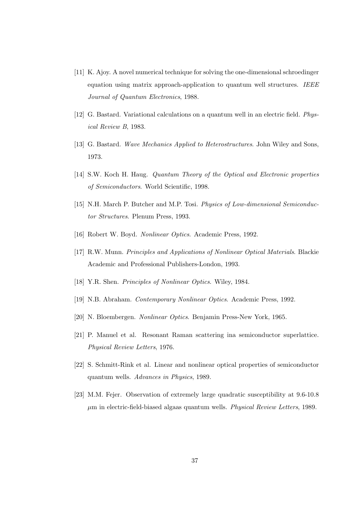- [11] K. Ajoy. A novel numerical technique for solving the one-dimensional schroedinger equation using matrix approach-application to quantum well structures. IEEE Journal of Quantum Electronics, 1988.
- [12] G. Bastard. Variational calculations on a quantum well in an electric field. Physical Review B, 1983.
- [13] G. Bastard. Wave Mechanics Applied to Heterostructures. John Wiley and Sons, 1973.
- [14] S.W. Koch H. Haug. Quantum Theory of the Optical and Electronic properties of Semiconductors. World Scientific, 1998.
- [15] N.H. March P. Butcher and M.P. Tosi. Physics of Low-dimensional Semiconductor Structures. Plenum Press, 1993.
- [16] Robert W. Boyd. Nonlinear Optics. Academic Press, 1992.
- [17] R.W. Munn. Principles and Applications of Nonlinear Optical Materials. Blackie Academic and Professional Publishers-London, 1993.
- [18] Y.R. Shen. *Principles of Nonlinear Optics*. Wiley, 1984.
- [19] N.B. Abraham. Contemporary Nonlinear Optics. Academic Press, 1992.
- [20] N. Bloembergen. Nonlinear Optics. Benjamin Press-New York, 1965.
- [21] P. Manuel et al. Resonant Raman scattering ina semiconductor superlattice. Physical Review Letters, 1976.
- [22] S. Schmitt-Rink et al. Linear and nonlinear optical properties of semiconductor quantum wells. Advances in Physics, 1989.
- [23] M.M. Fejer. Observation of extremely large quadratic susceptibility at 9.6-10.8  $\mu$ m in electric-field-biased algaas quantum wells. *Physical Review Letters*, 1989.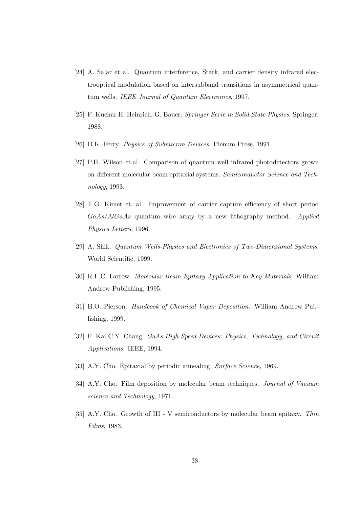- [24] A. Sa'ar et al. Quantum interference, Stark, and carrier density infrared electrooptical modulation based on intersubband transitions in asymmetrical quantum wells. IEEE Journal of Quantum Electronics, 1997.
- [25] F. Kuchar H. Heinrich, G. Bauer. Springer Serie in Solid State Physics. Springer, 1988.
- [26] D.K. Ferry. *Physics of Submicron Devices*. Plenum Press, 1991.
- [27] P.H. Wilson et.al. Comparison of quantum well infrared photodetectors grown on different molecular beam epitaxial systems. Semiconductor Science and Technology, 1993.
- [28] T.G. Kimet et. al. Improvement of carrier capture efficiency of short period GaAs/AlGaAs quantum wire array by a new lithography method. Applied Physics Letters, 1996.
- [29] A. Shik. Quantum Wells-Physics and Electronics of Two-Dimensional Systems. World Scientific, 1999.
- [30] R.F.C. Farrow. Molecular Beam Epitaxy-Application to Key Materials. William Andrew Publishing, 1995.
- [31] H.O. Pierson. Handbook of Chemical Vapor Deposition. William Andrew Publishing, 1999.
- [32] F. Kai C.Y. Chang. GaAs High-Speed Devices: Physics, Technology, and Circuit Applications. IEEE, 1994.
- [33] A.Y. Cho. Epitaxial by periodic annealing. Surface Science, 1969.
- [34] A.Y. Cho. Film deposition by molecular beam techniques. Journal of Vacuum science and Technology, 1971.
- [35] A.Y. Cho. Growth of III V semiconductors by molecular beam epitaxy. Thin Films, 1983.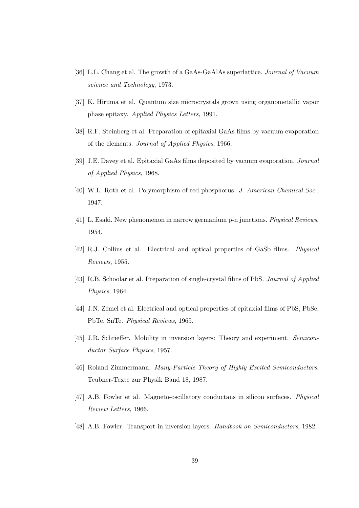- [36] L.L. Chang et al. The growth of a GaAs-GaAlAs superlattice. Journal of Vacuum science and Technology, 1973.
- [37] K. Hiruma et al. Quantum size microcrystals grown using organometallic vapor phase epitaxy. Applied Physics Letters, 1991.
- [38] R.F. Steinberg et al. Preparation of epitaxial GaAs films by vacuum evaporation of the elements. Journal of Applied Physics, 1966.
- [39] J.E. Davey et al. Epitaxial GaAs films deposited by vacuum evaporation. Journal of Applied Physics, 1968.
- [40] W.L. Roth et al. Polymorphism of red phosphorus. J. American Chemical Soc., 1947.
- [41] L. Esaki. New phenomenon in narrow germanium p-n junctions. Physical Reviews, 1954.
- [42] R.J. Collins et al. Electrical and optical properties of GaSb films. Physical Reviews, 1955.
- [43] R.B. Schoolar et al. Preparation of single-crystal films of PbS. Journal of Applied Physics, 1964.
- [44] J.N. Zemel et al. Electrical and optical properties of epitaxial films of PbS, PbSe, PbTe, SnTe. Physical Reviews, 1965.
- [45] J.R. Schrieffer. Mobility in inversion layers: Theory and experiment. Semiconductor Surface Physics, 1957.
- [46] Roland Zimmermann. Many-Particle Theory of Highly Excited Semiconductors. Teubner-Texte zur Physik Band 18, 1987.
- [47] A.B. Fowler et al. Magneto-oscillatory conductans in silicon surfaces. Physical Review Letters, 1966.
- [48] A.B. Fowler. Transport in inversion layers. Handbook on Semiconductors, 1982.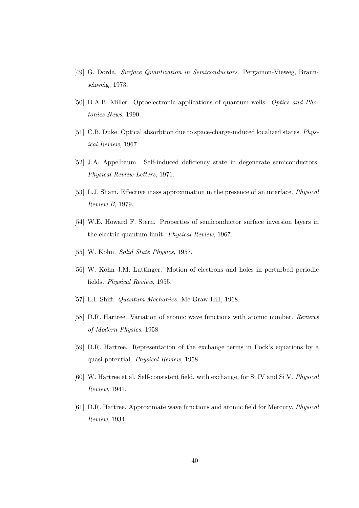- [49] G. Dorda. Surface Quantization in Semiconductors. Pergamon-Vieweg, Braunschweig, 1973.
- [50] D.A.B. Miller. Optoelectronic applications of quantum wells. Optics and Photonics News, 1990.
- [51] C.B. Duke. Optical absorbtion due to space-charge-induced localized states. Physical Review, 1967.
- [52] J.A. Appelbaum. Self-induced deficiency state in degenerate semiconductors. Physical Review Letters, 1971.
- [53] L.J. Sham. Effective mass approximation in the presence of an interface. Physical Review B, 1979.
- [54] W.E. Howard F. Stern. Properties of semiconductor surface inversion layers in the electric quantum limit. Physical Review, 1967.
- [55] W. Kohn. Solid State Physics, 1957.
- [56] W. Kohn J.M. Luttinger. Motion of electrons and holes in perturbed periodic fields. Physical Review, 1955.
- [57] L.I. Shiff. Quantum Mechanics. Mc Graw-Hill, 1968.
- [58] D.R. Hartree. Variation of atomic wave functions with atomic number. Reviews of Modern Physics, 1958.
- [59] D.R. Hartree. Representation of the exchange terms in Fock's equations by a quasi-potential. Physical Review, 1958.
- [60] W. Hartree et al. Self-consistent field, with exchange, for Si IV and Si V. Physical Review, 1941.
- [61] D.R. Hartree. Approximate wave functions and atomic field for Mercury. Physical Review, 1934.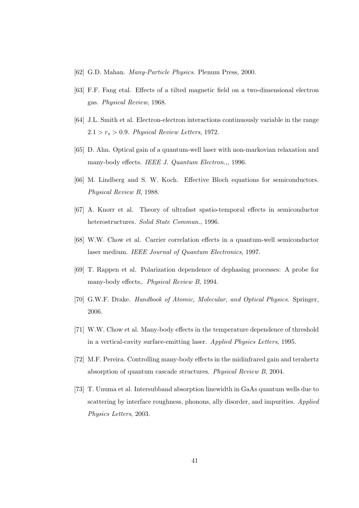- [62] G.D. Mahan. Many-Particle Physics. Plenum Press, 2000.
- [63] F.F. Fang etal. Effects of a tilted magnetic field on a two-dimensional electron gas. Physical Review, 1968.
- [64] J.L. Smith et al. Electron-electron interactions continuously variable in the range  $2.1 > r_s > 0.9$ . Physical Review Letters, 1972.
- [65] D. Ahn. Optical gain of a quantum-well laser with non-markovian relaxation and many-body effects. IEEE J. Quantum Electron.., 1996.
- [66] M. Lindberg and S. W. Koch. Effective Bloch equations for semiconductors. Physical Review B, 1988.
- [67] A. Knorr et al. Theory of ultrafast spatio-temporal effects in semiconductor heterostructures. Solid State Commun., 1996.
- [68] W.W. Chow et al. Carrier correlation effects in a quantum-well semiconductor laser medium. *IEEE Journal of Quantum Electronics*, 1997.
- [69] T. Rappen et al. Polarization dependence of dephasing processes: A probe for many-body effects,. Physical Review B, 1994.
- [70] G.W.F. Drake. Handbook of Atomic, Molecular, and Optical Physics. Springer, 2006.
- [71] W.W. Chow et al. Many-body effects in the temperature dependence of threshold in a vertical-cavity surface-emitting laser. Applied Physics Letters, 1995.
- [72] M.F. Pereira. Controlling many-body effects in the midinfrared gain and terahertz absorption of quantum cascade structures. Physical Review B, 2004.
- [73] T. Unuma et al. Intersubband absorption linewidth in GaAs quantum wells due to scattering by interface roughness, phonons, ally disorder, and impurities. Applied Physics Letters, 2003.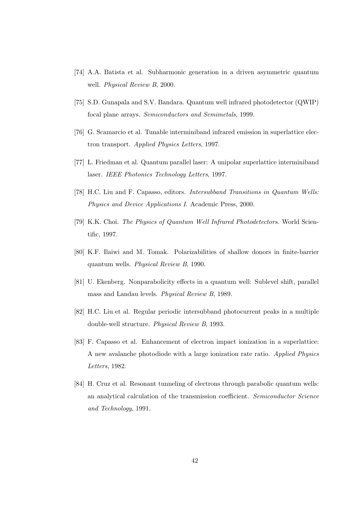- [74] A.A. Batista et al. Subharmonic generation in a driven asymmetric quantum well. Physical Review B, 2000.
- [75] S.D. Gunapala and S.V. Bandara. Quantum well infrared photodetector (QWIP) focal plane arrays. Semiconductors and Semimetals, 1999.
- [76] G. Scamarcio et al. Tunable interminiband infrared emission in superlattice electron transport. Applied Physics Letters, 1997.
- [77] L. Friedman et al. Quantum parallel laser: A unipolar superlattice interminiband laser. IEEE Photonics Technology Letters, 1997.
- [78] H.C. Liu and F. Capasso, editors. Intersubband Transitions in Quantum Wells: Physics and Device Applications I. Academic Press, 2000.
- [79] K.K. Choi. The Physics of Quantum Well Infrared Photodetectors. World Scientific, 1997.
- [80] K.F. Ilaiwi and M. Tomak. Polarizabilities of shallow donors in finite-barrier quantum wells. Physical Review B, 1990.
- [81] U. Ekenberg. Nonparabolicity effects in a quantum well: Sublevel shift, parallel mass and Landau levels. Physical Review B, 1989.
- [82] H.C. Liu et al. Regular periodic intersubband photocurrent peaks in a multiple double-well structure. Physical Review B, 1993.
- [83] F. Capasso et al. Enhancement of electron impact ionization in a superlattice: A new avalanche photodiode with a large ionization rate ratio. Applied Physics Letters, 1982.
- [84] H. Cruz et al. Resonant tunneling of electrons through parabolic quantum wells: an analytical calculation of the transmission coefficient. Semiconductor Science and Technology, 1991.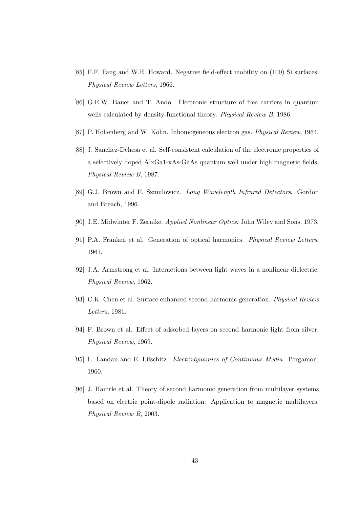- [85] F.F. Fang and W.E. Howard. Negative field-effect mobility on (100) Si surfaces. Physical Review Letters, 1966.
- [86] G.E.W. Bauer and T. Ando. Electronic structure of free carriers in quantum wells calculated by density-functional theory. Physical Review B, 1986.
- [87] P. Hohenberg and W. Kohn. Inhomogeneous electron gas. Physical Review, 1964.
- [88] J. Sanchez-Dehesa et al. Self-consistent calculation of the electronic properties of a selectively doped AlxGa1-xAs-GaAs quantum well under high magnetic fields. Physical Review B, 1987.
- [89] G.J. Brown and F. Szmulowicz. Long Wavelength Infrared Detectors. Gordon and Breach, 1996.
- [90] J.E. Midwinter F. Zernike. Applied Nonlinear Optics. John Wiley and Sons, 1973.
- [91] P.A. Franken et al. Generation of optical harmonics. Physical Review Letters, 1961.
- [92] J.A. Armstrong et al. Interactions between light waves in a nonlinear dielectric. Physical Review, 1962.
- [93] C.K. Chen et al. Surface enhanced second-harmonic generation. Physical Review Letters, 1981.
- [94] F. Brown et al. Effect of adsorbed layers on second harmonic light from silver. Physical Review, 1969.
- [95] L. Landau and E. Lifschitz. Electrodynamics of Continuous Media. Pergamon, 1960.
- [96] J. Hamrle et al. Theory of second harmonic generation from multilayer systems based on electric point-dipole radiation: Application to magnetic multilayers. Physical Review B, 2003.